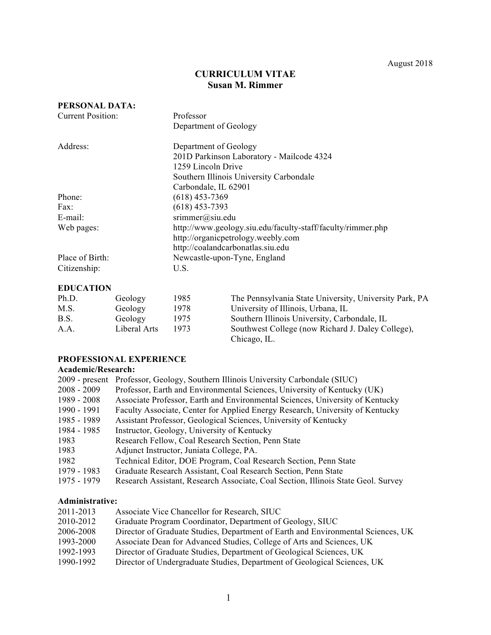# **CURRICULUM VITAE Susan M. Rimmer**

| PERSONAL DATA:    |                                                             |
|-------------------|-------------------------------------------------------------|
| Current Position: | Professor                                                   |
|                   | Department of Geology                                       |
| Address:          | Department of Geology                                       |
|                   | 201D Parkinson Laboratory - Mailcode 4324                   |
|                   | 1259 Lincoln Drive                                          |
|                   | Southern Illinois University Carbondale                     |
|                   | Carbondale, IL 62901                                        |
| Phone:            | $(618)$ 453-7369                                            |
| Fax:              | $(618)$ 453-7393                                            |
| $E$ -mail:        | $s$ rimmer@siu.edu                                          |
| Web pages:        | http://www.geology.siu.edu/faculty-staff/faculty/rimmer.php |
|                   | http://organicpetrology.weebly.com                          |
|                   | http://coalandcarbonatlas.siu.edu                           |
| Place of Birth:   | Newcastle-upon-Tyne, England                                |
| Citizenship:      | U.S.                                                        |

# **EDUCATION**

| Ph.D. | Geology      | 1985 | The Pennsylvania State University, University Park, PA            |
|-------|--------------|------|-------------------------------------------------------------------|
| M.S.  | Geology      | 1978 | University of Illinois, Urbana, IL                                |
| B.S.  | Geology      | 1975 | Southern Illinois University, Carbondale, IL                      |
| A.A.  | Liberal Arts | 1973 | Southwest College (now Richard J. Daley College),<br>Chicago, IL. |

# **PROFESSIONAL EXPERIENCE**

### **Academic/Research:**

| $2009$ - present | Professor, Geology, Southern Illinois University Carbondale (SIUC)                |
|------------------|-----------------------------------------------------------------------------------|
| $2008 - 2009$    | Professor, Earth and Environmental Sciences, University of Kentucky (UK)          |
| 1989 - 2008      | Associate Professor, Earth and Environmental Sciences, University of Kentucky     |
| 1990 - 1991      | Faculty Associate, Center for Applied Energy Research, University of Kentucky     |
| 1985 - 1989      | Assistant Professor, Geological Sciences, University of Kentucky                  |
| 1984 - 1985      | Instructor, Geology, University of Kentucky                                       |
| 1983             | Research Fellow, Coal Research Section, Penn State                                |
| 1983             | Adjunct Instructor, Juniata College, PA.                                          |
| 1982             | Technical Editor, DOE Program, Coal Research Section, Penn State                  |
| 1979 - 1983      | Graduate Research Assistant, Coal Research Section, Penn State                    |
| 1975 - 1979      | Research Assistant, Research Associate, Coal Section, Illinois State Geol. Survey |

## **Administrative:**

| 2011-2013 | Associate Vice Chancellor for Research, SIUC                                     |
|-----------|----------------------------------------------------------------------------------|
| 2010-2012 | Graduate Program Coordinator, Department of Geology, SIUC                        |
| 2006-2008 | Director of Graduate Studies, Department of Earth and Environmental Sciences, UK |
| 1993-2000 | Associate Dean for Advanced Studies, College of Arts and Sciences, UK            |
| 1992-1993 | Director of Graduate Studies, Department of Geological Sciences, UK              |
| 1990-1992 | Director of Undergraduate Studies, Department of Geological Sciences, UK         |
|           |                                                                                  |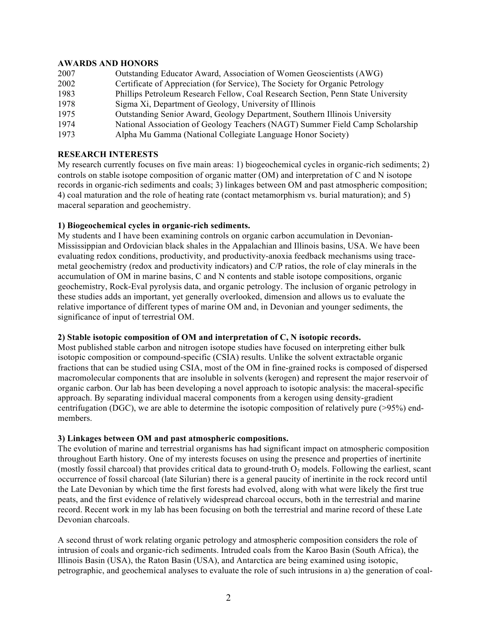# **AWARDS AND HONORS**

| 2007 | Outstanding Educator Award, Association of Women Geoscientists (AWG)             |
|------|----------------------------------------------------------------------------------|
| 2002 | Certificate of Appreciation (for Service), The Society for Organic Petrology     |
| 1983 | Phillips Petroleum Research Fellow, Coal Research Section, Penn State University |
| 1978 | Sigma Xi, Department of Geology, University of Illinois                          |
| 1975 | Outstanding Senior Award, Geology Department, Southern Illinois University       |
| 1974 | National Association of Geology Teachers (NAGT) Summer Field Camp Scholarship    |
| 1973 | Alpha Mu Gamma (National Collegiate Language Honor Society)                      |

# **RESEARCH INTERESTS**

My research currently focuses on five main areas: 1) biogeochemical cycles in organic-rich sediments; 2) controls on stable isotope composition of organic matter (OM) and interpretation of C and N isotope records in organic-rich sediments and coals; 3) linkages between OM and past atmospheric composition; 4) coal maturation and the role of heating rate (contact metamorphism vs. burial maturation); and 5) maceral separation and geochemistry.

## **1) Biogeochemical cycles in organic-rich sediments.**

My students and I have been examining controls on organic carbon accumulation in Devonian-Mississippian and Ordovician black shales in the Appalachian and Illinois basins, USA. We have been evaluating redox conditions, productivity, and productivity-anoxia feedback mechanisms using tracemetal geochemistry (redox and productivity indicators) and C/P ratios, the role of clay minerals in the accumulation of OM in marine basins, C and N contents and stable isotope compositions, organic geochemistry, Rock-Eval pyrolysis data, and organic petrology. The inclusion of organic petrology in these studies adds an important, yet generally overlooked, dimension and allows us to evaluate the relative importance of different types of marine OM and, in Devonian and younger sediments, the significance of input of terrestrial OM.

## **2) Stable isotopic composition of OM and interpretation of C, N isotopic records.**

Most published stable carbon and nitrogen isotope studies have focused on interpreting either bulk isotopic composition or compound-specific (CSIA) results. Unlike the solvent extractable organic fractions that can be studied using CSIA, most of the OM in fine-grained rocks is composed of dispersed macromolecular components that are insoluble in solvents (kerogen) and represent the major reservoir of organic carbon. Our lab has been developing a novel approach to isotopic analysis: the maceral-specific approach. By separating individual maceral components from a kerogen using density-gradient centrifugation (DGC), we are able to determine the isotopic composition of relatively pure (>95%) endmembers.

## **3) Linkages between OM and past atmospheric compositions.**

The evolution of marine and terrestrial organisms has had significant impact on atmospheric composition throughout Earth history. One of my interests focuses on using the presence and properties of inertinite (mostly fossil charcoal) that provides critical data to ground-truth  $O_2$  models. Following the earliest, scant occurrence of fossil charcoal (late Silurian) there is a general paucity of inertinite in the rock record until the Late Devonian by which time the first forests had evolved, along with what were likely the first true peats, and the first evidence of relatively widespread charcoal occurs, both in the terrestrial and marine record. Recent work in my lab has been focusing on both the terrestrial and marine record of these Late Devonian charcoals.

A second thrust of work relating organic petrology and atmospheric composition considers the role of intrusion of coals and organic-rich sediments. Intruded coals from the Karoo Basin (South Africa), the Illinois Basin (USA), the Raton Basin (USA), and Antarctica are being examined using isotopic, petrographic, and geochemical analyses to evaluate the role of such intrusions in a) the generation of coal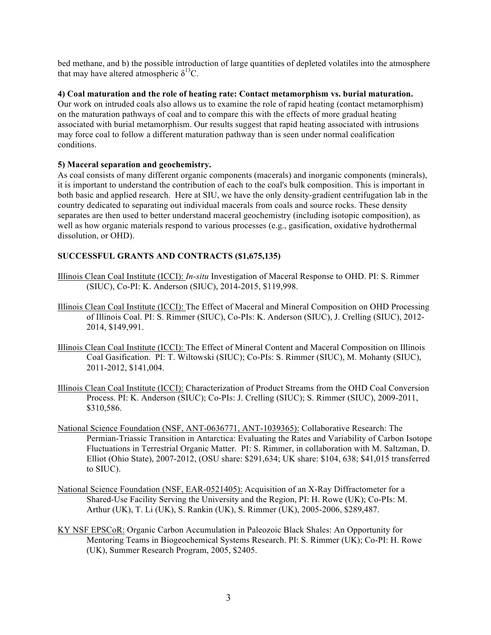bed methane, and b) the possible introduction of large quantities of depleted volatiles into the atmosphere that may have altered atmospheric  $\delta^{13}C$ .

## **4) Coal maturation and the role of heating rate: Contact metamorphism vs. burial maturation.**

Our work on intruded coals also allows us to examine the role of rapid heating (contact metamorphism) on the maturation pathways of coal and to compare this with the effects of more gradual heating associated with burial metamorphism. Our results suggest that rapid heating associated with intrusions may force coal to follow a different maturation pathway than is seen under normal coalification conditions.

## **5) Maceral separation and geochemistry.**

As coal consists of many different organic components (macerals) and inorganic components (minerals), it is important to understand the contribution of each to the coal's bulk composition. This is important in both basic and applied research. Here at SIU, we have the only density-gradient centrifugation lab in the country dedicated to separating out individual macerals from coals and source rocks. These density separates are then used to better understand maceral geochemistry (including isotopic composition), as well as how organic materials respond to various processes (e.g., gasification, oxidative hydrothermal dissolution, or OHD).

# **SUCCESSFUL GRANTS AND CONTRACTS (\$1,675,135)**

- Illinois Clean Coal Institute (ICCI): *In-situ* Investigation of Maceral Response to OHD. PI: S. Rimmer (SIUC), Co-PI: K. Anderson (SIUC), 2014-2015, \$119,998.
- Illinois Clean Coal Institute (ICCI): The Effect of Maceral and Mineral Composition on OHD Processing of Illinois Coal. PI: S. Rimmer (SIUC), Co-PIs: K. Anderson (SIUC), J. Crelling (SIUC), 2012- 2014, \$149,991.
- Illinois Clean Coal Institute (ICCI): The Effect of Mineral Content and Maceral Composition on Illinois Coal Gasification. PI: T. Wiltowski (SIUC); Co-PIs: S. Rimmer (SIUC), M. Mohanty (SIUC), 2011-2012, \$141,004.
- Illinois Clean Coal Institute (ICCI): Characterization of Product Streams from the OHD Coal Conversion Process. PI: K. Anderson (SIUC); Co-PIs: J. Crelling (SIUC); S. Rimmer (SIUC), 2009-2011, \$310,586.
- National Science Foundation (NSF, ANT-0636771, ANT-1039365): Collaborative Research: The Permian-Triassic Transition in Antarctica: Evaluating the Rates and Variability of Carbon Isotope Fluctuations in Terrestrial Organic Matter. PI: S. Rimmer, in collaboration with M. Saltzman, D. Elliot (Ohio State), 2007-2012, (OSU share: \$291,634; UK share: \$104, 638; \$41,015 transferred to SIUC).
- National Science Foundation (NSF, EAR-0521405): Acquisition of an X-Ray Diffractometer for a Shared-Use Facility Serving the University and the Region, PI: H. Rowe (UK); Co-PIs: M. Arthur (UK), T. Li (UK), S. Rankin (UK), S. Rimmer (UK), 2005-2006, \$289,487.
- KY NSF EPSCoR: Organic Carbon Accumulation in Paleozoic Black Shales: An Opportunity for Mentoring Teams in Biogeochemical Systems Research. PI: S. Rimmer (UK); Co-PI: H. Rowe (UK), Summer Research Program, 2005, \$2405.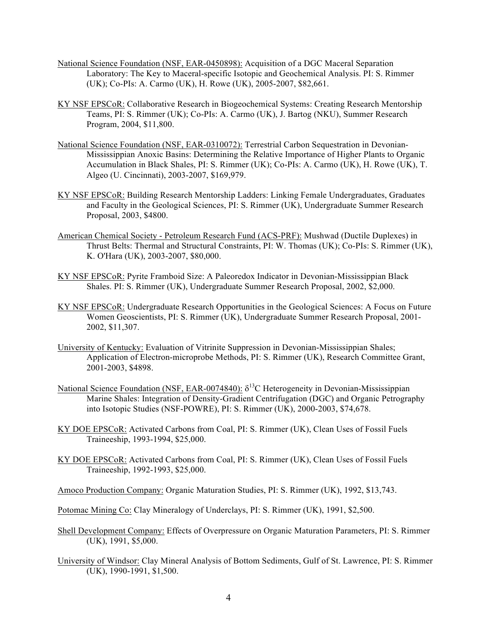- National Science Foundation (NSF, EAR-0450898): Acquisition of a DGC Maceral Separation Laboratory: The Key to Maceral-specific Isotopic and Geochemical Analysis. PI: S. Rimmer (UK); Co-PIs: A. Carmo (UK), H. Rowe (UK), 2005-2007, \$82,661.
- KY NSF EPSCoR: Collaborative Research in Biogeochemical Systems: Creating Research Mentorship Teams, PI: S. Rimmer (UK); Co-PIs: A. Carmo (UK), J. Bartog (NKU), Summer Research Program, 2004, \$11,800.
- National Science Foundation (NSF, EAR-0310072): Terrestrial Carbon Sequestration in Devonian-Mississippian Anoxic Basins: Determining the Relative Importance of Higher Plants to Organic Accumulation in Black Shales, PI: S. Rimmer (UK); Co-PIs: A. Carmo (UK), H. Rowe (UK), T. Algeo (U. Cincinnati), 2003-2007, \$169,979.
- KY NSF EPSCoR: Building Research Mentorship Ladders: Linking Female Undergraduates, Graduates and Faculty in the Geological Sciences, PI: S. Rimmer (UK), Undergraduate Summer Research Proposal, 2003, \$4800.
- American Chemical Society Petroleum Research Fund (ACS-PRF): Mushwad (Ductile Duplexes) in Thrust Belts: Thermal and Structural Constraints, PI: W. Thomas (UK); Co-PIs: S. Rimmer (UK), K. O'Hara (UK), 2003-2007, \$80,000.
- KY NSF EPSCoR: Pyrite Framboid Size: A Paleoredox Indicator in Devonian-Mississippian Black Shales. PI: S. Rimmer (UK), Undergraduate Summer Research Proposal, 2002, \$2,000.
- KY NSF EPSCoR: Undergraduate Research Opportunities in the Geological Sciences: A Focus on Future Women Geoscientists, PI: S. Rimmer (UK), Undergraduate Summer Research Proposal, 2001- 2002, \$11,307.
- University of Kentucky: Evaluation of Vitrinite Suppression in Devonian-Mississippian Shales; Application of Electron-microprobe Methods, PI: S. Rimmer (UK), Research Committee Grant, 2001-2003, \$4898.
- National Science Foundation (NSF, EAR-0074840):  $\delta^{13}$ C Heterogeneity in Devonian-Mississippian Marine Shales: Integration of Density-Gradient Centrifugation (DGC) and Organic Petrography into Isotopic Studies (NSF-POWRE), PI: S. Rimmer (UK), 2000-2003, \$74,678.
- KY DOE EPSCoR: Activated Carbons from Coal, PI: S. Rimmer (UK), Clean Uses of Fossil Fuels Traineeship, 1993-1994, \$25,000.
- KY DOE EPSCoR: Activated Carbons from Coal, PI: S. Rimmer (UK), Clean Uses of Fossil Fuels Traineeship, 1992-1993, \$25,000.

Amoco Production Company: Organic Maturation Studies, PI: S. Rimmer (UK), 1992, \$13,743.

- Potomac Mining Co: Clay Mineralogy of Underclays, PI: S. Rimmer (UK), 1991, \$2,500.
- Shell Development Company: Effects of Overpressure on Organic Maturation Parameters, PI: S. Rimmer (UK), 1991, \$5,000.
- University of Windsor: Clay Mineral Analysis of Bottom Sediments, Gulf of St. Lawrence, PI: S. Rimmer (UK), 1990-1991, \$1,500.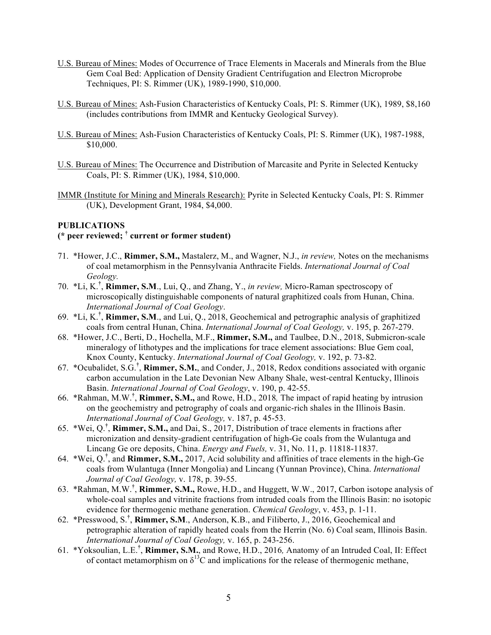- U.S. Bureau of Mines: Modes of Occurrence of Trace Elements in Macerals and Minerals from the Blue Gem Coal Bed: Application of Density Gradient Centrifugation and Electron Microprobe Techniques, PI: S. Rimmer (UK), 1989-1990, \$10,000.
- U.S. Bureau of Mines: Ash-Fusion Characteristics of Kentucky Coals, PI: S. Rimmer (UK), 1989, \$8,160 (includes contributions from IMMR and Kentucky Geological Survey).
- U.S. Bureau of Mines: Ash-Fusion Characteristics of Kentucky Coals, PI: S. Rimmer (UK), 1987-1988, \$10,000.
- U.S. Bureau of Mines: The Occurrence and Distribution of Marcasite and Pyrite in Selected Kentucky Coals, PI: S. Rimmer (UK), 1984, \$10,000.
- IMMR (Institute for Mining and Minerals Research): Pyrite in Selected Kentucky Coals, PI: S. Rimmer (UK), Development Grant, 1984, \$4,000.

## **PUBLICATIONS**

# **(\* peer reviewed; † current or former student)**

- 71. \*Hower, J.C., **Rimmer, S.M.,** Mastalerz, M., and Wagner, N.J., *in review,* Notes on the mechanisms of coal metamorphism in the Pennsylvania Anthracite Fields. *International Journal of Coal Geology.*
- 70. \*Li, K.**†** , **Rimmer, S.M**., Lui, Q., and Zhang, Y., *in review,* Micro-Raman spectroscopy of microscopically distinguishable components of natural graphitized coals from Hunan, China. *International Journal of Coal Geology*.
- 69. \*Li, K.**†** , **Rimmer, S.M**., and Lui, Q., 2018, Geochemical and petrographic analysis of graphitized coals from central Hunan, China. *International Journal of Coal Geology,* v. 195, p. 267-279.
- 68. \*Hower, J.C., Berti, D., Hochella, M.F., **Rimmer, S.M.,** and Taulbee, D.N., 2018, Submicron-scale mineralogy of lithotypes and the implications for trace element associations: Blue Gem coal, Knox County, Kentucky. *International Journal of Coal Geology,* v. 192, p. 73-82.
- 67. \*Ocubalidet, S.G.**†** , **Rimmer, S.M.**, and Conder, J., 2018, Redox conditions associated with organic carbon accumulation in the Late Devonian New Albany Shale, west-central Kentucky, Illinois Basin. *International Journal of Coal Geology*, v. 190, p. 42-55.
- 66. \*Rahman, M.W.**†** , **Rimmer, S.M.,** and Rowe, H.D., 2018*,* The impact of rapid heating by intrusion on the geochemistry and petrography of coals and organic-rich shales in the Illinois Basin. *International Journal of Coal Geology,* v. 187, p. 45-53.
- 65. \*Wei, Q.**†** , **Rimmer, S.M.,** and Dai, S., 2017, Distribution of trace elements in fractions after micronization and density-gradient centrifugation of high-Ge coals from the Wulantuga and Lincang Ge ore deposits, China. *Energy and Fuels,* v. 31, No. 11, p. 11818-11837.
- 64. \*Wei, Q.**†** , and **Rimmer, S.M.,** 2017, Acid solubility and affinities of trace elements in the high-Ge coals from Wulantuga (Inner Mongolia) and Lincang (Yunnan Province), China. *International Journal of Coal Geology,* v. 178, p. 39-55.
- 63. \*Rahman, M.W.**†** , **Rimmer, S.M.,** Rowe, H.D., and Huggett, W.W., 2017, Carbon isotope analysis of whole-coal samples and vitrinite fractions from intruded coals from the Illinois Basin: no isotopic evidence for thermogenic methane generation. *Chemical Geology*, v. 453, p. 1-11.
- 62. \*Presswood, S.**†** , **Rimmer, S.M**., Anderson, K.B., and Filiberto, J., 2016, Geochemical and petrographic alteration of rapidly heated coals from the Herrin (No. 6) Coal seam, Illinois Basin. *International Journal of Coal Geology,* v. 165, p. 243-256.
- 61. \*Yoksoulian, L.E.**†** , **Rimmer, S.M.**, and Rowe, H.D., 2016*,* Anatomy of an Intruded Coal, II: Effect of contact metamorphism on  $\delta^{13}$ C and implications for the release of thermogenic methane,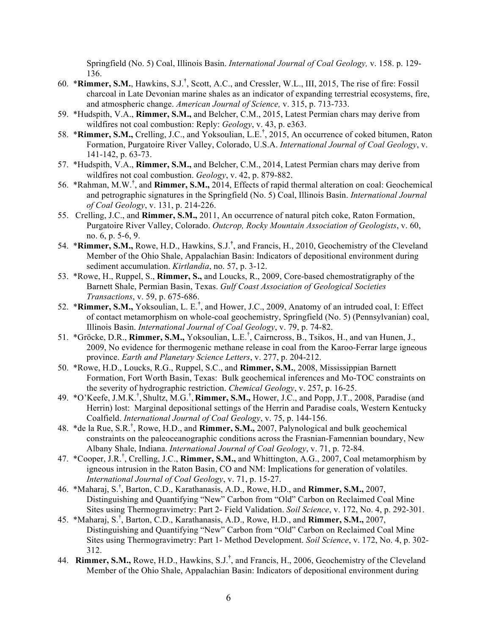Springfield (No. 5) Coal, Illinois Basin. *International Journal of Coal Geology,* v. 158. p. 129- 136.

- 60. \***Rimmer, S.M.**, Hawkins, S.J.**†** , Scott, A.C., and Cressler, W.L., III, 2015, The rise of fire: Fossil charcoal in Late Devonian marine shales as an indicator of expanding terrestrial ecosystems, fire, and atmospheric change. *American Journal of Science,* v. 315, p. 713-733.
- 59. \*Hudspith, V.A., **Rimmer, S.M.,** and Belcher, C.M., 2015, Latest Permian chars may derive from wildfires not coal combustion: Reply: *Geology*, v. 43, p. e363.
- 58. \***Rimmer, S.M.,** Crelling, J.C., and Yoksoulian, L.E.**†** , 2015, An occurrence of coked bitumen, Raton Formation, Purgatoire River Valley, Colorado, U.S.A. *International Journal of Coal Geology*, v. 141-142, p. 63-73.
- 57. \*Hudspith, V.A., **Rimmer, S.M.,** and Belcher, C.M., 2014, Latest Permian chars may derive from wildfires not coal combustion. *Geology*, v. 42, p. 879-882.
- 56. \*Rahman, M.W.**†** , and **Rimmer, S.M.,** 2014, Effects of rapid thermal alteration on coal: Geochemical and petrographic signatures in the Springfield (No. 5) Coal, Illinois Basin. *International Journal of Coal Geology*, v. 131, p. 214-226.
- 55. Crelling, J.C., and **Rimmer, S.M.,** 2011, An occurrence of natural pitch coke, Raton Formation, Purgatoire River Valley, Colorado. *Outcrop, Rocky Mountain Association of Geologists*, v. 60, no. 6, p. 5-6, 9.
- 54. \***Rimmer, S.M.,** Rowe, H.D., Hawkins, S.J. **†** , and Francis, H., 2010, Geochemistry of the Cleveland Member of the Ohio Shale, Appalachian Basin: Indicators of depositional environment during sediment accumulation. *Kirtlandia*, no. 57, p. 3-12.
- 53. \*Rowe, H., Ruppel, S., **Rimmer, S.,** and Loucks, R., 2009, Core-based chemostratigraphy of the Barnett Shale, Permian Basin, Texas. *Gulf Coast Association of Geological Societies Transactions*, v. 59, p. 675-686.
- 52. \***Rimmer, S.M.,** Yoksoulian, L. E.**†** , and Hower, J.C., 2009, Anatomy of an intruded coal, I: Effect of contact metamorphism on whole-coal geochemistry, Springfield (No. 5) (Pennsylvanian) coal, Illinois Basin. *International Journal of Coal Geology*, v. 79, p. 74-82.
- 51. \*Gröcke, D.R., **Rimmer, S.M.,** Yoksoulian, L.E.† , Cairncross, B., Tsikos, H., and van Hunen, J., 2009, No evidence for thermogenic methane release in coal from the Karoo-Ferrar large igneous province. *Earth and Planetary Science Letters*, v. 277, p. 204-212.
- 50. \*Rowe, H.D., Loucks, R.G., Ruppel, S.C., and **Rimmer, S.M.**, 2008, Mississippian Barnett Formation, Fort Worth Basin, Texas: Bulk geochemical inferences and Mo-TOC constraints on the severity of hydrographic restriction. *Chemical Geology*, v. 257, p. 16-25.
- 49. \*O'Keefe, J.M.K.† , Shultz, M.G.† , **Rimmer, S.M.,** Hower, J.C., and Popp, J.T., 2008, Paradise (and Herrin) lost: Marginal depositional settings of the Herrin and Paradise coals, Western Kentucky Coalfield. *International Journal of Coal Geology*, v. 75, p. 144-156.
- 48. \*de la Rue, S.R.† , Rowe, H.D., and **Rimmer, S.M.,** 2007, Palynological and bulk geochemical constraints on the paleoceanographic conditions across the Frasnian-Famennian boundary, New Albany Shale, Indiana. *International Journal of Coal Geology*, v. 71, p. 72-84.
- 47. \*Cooper, J.R.† , Crelling, J.C., **Rimmer, S.M.,** and Whittington, A.G., 2007, Coal metamorphism by igneous intrusion in the Raton Basin, CO and NM: Implications for generation of volatiles. *International Journal of Coal Geology*, v. 71, p. 15-27.
- 46. \*Maharaj, S.† , Barton, C.D., Karathanasis, A.D., Rowe, H.D., and **Rimmer, S.M.,** 2007, Distinguishing and Quantifying "New" Carbon from "Old" Carbon on Reclaimed Coal Mine Sites using Thermogravimetry: Part 2- Field Validation. *Soil Science*, v. 172, No. 4, p. 292-301.
- 45. \*Maharaj, S.† , Barton, C.D., Karathanasis, A.D., Rowe, H.D., and **Rimmer, S.M.,** 2007, Distinguishing and Quantifying "New" Carbon from "Old" Carbon on Reclaimed Coal Mine Sites using Thermogravimetry: Part 1- Method Development. *Soil Science*, v. 172, No. 4, p. 302- 312.
- 44. **Rimmer, S.M.,** Rowe, H.D., Hawkins, S.J.**†** , and Francis, H., 2006, Geochemistry of the Cleveland Member of the Ohio Shale, Appalachian Basin: Indicators of depositional environment during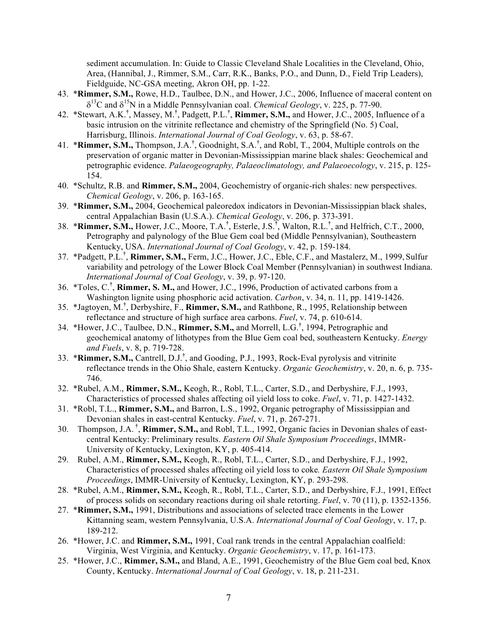sediment accumulation. In: Guide to Classic Cleveland Shale Localities in the Cleveland, Ohio, Area, (Hannibal, J., Rimmer, S.M., Carr, R.K., Banks, P.O., and Dunn, D., Field Trip Leaders), Fieldguide, NC-GSA meeting, Akron OH, pp. 1-22.

- 43. \***Rimmer, S.M.,** Rowe, H.D., Taulbee, D.N., and Hower, J.C., 2006, Influence of maceral content on  $\delta^{13}$ C and  $\delta^{15}$ N in a Middle Pennsylvanian coal. *Chemical Geology*, v. 225, p. 77-90.
- 42. \*Stewart, A.K.**†** , Massey, M.**†** , Padgett, P.L.**†** , **Rimmer, S.M.,** and Hower, J.C., 2005, Influence of a basic intrusion on the vitrinite reflectance and chemistry of the Springfield (No. 5) Coal, Harrisburg, Illinois. *International Journal of Coal Geology*, v. 63, p. 58-67.
- 41. \***Rimmer, S.M.,** Thompson, J.A.**†** , Goodnight, S.A.**†** , and Robl, T., 2004, Multiple controls on the preservation of organic matter in Devonian-Mississippian marine black shales: Geochemical and petrographic evidence. *Palaeogeography, Palaeoclimatology, and Palaeoecology*, v. 215, p. 125- 154.
- 40. \*Schultz, R.B. and **Rimmer, S.M.,** 2004, Geochemistry of organic-rich shales: new perspectives. *Chemical Geology*, v. 206, p. 163-165.
- 39. \***Rimmer, S.M.,** 2004, Geochemical paleoredox indicators in Devonian-Mississippian black shales, central Appalachian Basin (U.S.A.). *Chemical Geology*, v. 206, p. 373-391.
- 38. \***Rimmer, S.M.,** Hower, J.C., Moore, T.A.**†** , Esterle, J.S.**†** , Walton, R.L.**†** , and Helfrich, C.T., 2000, Petrography and palynology of the Blue Gem coal bed (Middle Pennsylvanian), Southeastern Kentucky, USA. *International Journal of Coal Geology*, v. 42, p. 159-184.
- 37. \*Padgett, P.L.**†** , **Rimmer, S.M.,** Ferm, J.C., Hower, J.C., Eble, C.F., and Mastalerz, M., 1999, Sulfur variability and petrology of the Lower Block Coal Member (Pennsylvanian) in southwest Indiana. *International Journal of Coal Geology*, v. 39, p. 97-120.
- 36. \*Toles, C.**†** , **Rimmer, S. M.,** and Hower, J.C., 1996, Production of activated carbons from a Washington lignite using phosphoric acid activation. *Carbon*, v. 34, n. 11, pp. 1419-1426.
- 35. \*Jagtoyen, M.**†** , Derbyshire, F., **Rimmer, S.M.,** and Rathbone, R., 1995, Relationship between reflectance and structure of high surface area carbons. *Fuel*, v. 74, p. 610-614.
- 34. \*Hower, J.C., Taulbee, D.N., **Rimmer, S.M.,** and Morrell, L.G.**†** , 1994, Petrographic and geochemical anatomy of lithotypes from the Blue Gem coal bed, southeastern Kentucky. *Energy and Fuels*, v. 8, p. 719-728.
- 33. \***Rimmer, S.M.,** Cantrell, D.J.**†** , and Gooding, P.J., 1993, Rock-Eval pyrolysis and vitrinite reflectance trends in the Ohio Shale, eastern Kentucky. *Organic Geochemistry*, v. 20, n. 6, p. 735- 746.
- 32. \*Rubel, A.M., **Rimmer, S.M.,** Keogh, R., Robl, T.L., Carter, S.D., and Derbyshire, F.J., 1993, Characteristics of processed shales affecting oil yield loss to coke. *Fuel*, v. 71, p. 1427-1432.
- 31. \*Robl, T.L., **Rimmer, S.M.,** and Barron, L.S., 1992, Organic petrography of Mississippian and Devonian shales in east-central Kentucky. *Fuel*, v. 71, p. 267-271.
- 30. Thompson, J.A. **†** , **Rimmer, S.M.,** and Robl, T.L., 1992, Organic facies in Devonian shales of eastcentral Kentucky: Preliminary results. *Eastern Oil Shale Symposium Proceedings*, IMMR-University of Kentucky, Lexington, KY, p. 405-414.
- 29. Rubel, A.M., **Rimmer, S.M.,** Keogh, R., Robl, T.L., Carter, S.D., and Derbyshire, F.J., 1992, Characteristics of processed shales affecting oil yield loss to coke*. Eastern Oil Shale Symposium Proceedings*, IMMR-University of Kentucky, Lexington, KY, p. 293-298.
- 28. \*Rubel, A.M., **Rimmer, S.M.,** Keogh, R., Robl, T.L., Carter, S.D., and Derbyshire, F.J., 1991, Effect of process solids on secondary reactions during oil shale retorting. *Fuel*, v. 70 (11), p. 1352-1356.
- 27. \***Rimmer, S.M.,** 1991, Distributions and associations of selected trace elements in the Lower Kittanning seam, western Pennsylvania, U.S.A. *International Journal of Coal Geology*, v. 17, p. 189-212.
- 26. \*Hower, J.C. and **Rimmer, S.M.,** 1991, Coal rank trends in the central Appalachian coalfield: Virginia, West Virginia, and Kentucky. *Organic Geochemistry*, v. 17, p. 161-173.
- 25. \*Hower, J.C., **Rimmer, S.M.,** and Bland, A.E., 1991, Geochemistry of the Blue Gem coal bed, Knox County, Kentucky. *International Journal of Coal Geology*, v. 18, p. 211-231.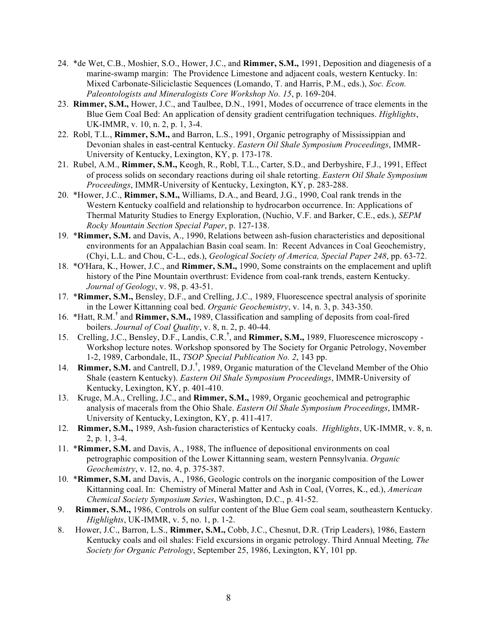- 24. \*de Wet, C.B., Moshier, S.O., Hower, J.C., and **Rimmer, S.M.,** 1991, Deposition and diagenesis of a marine-swamp margin: The Providence Limestone and adjacent coals, western Kentucky. In: Mixed Carbonate-Siliciclastic Sequences (Lomando, T. and Harris, P.M., eds.), *Soc. Econ. Paleontologists and Mineralogists Core Workshop No. 15*, p. 169-204.
- 23. **Rimmer, S.M.,** Hower, J.C., and Taulbee, D.N., 1991, Modes of occurrence of trace elements in the Blue Gem Coal Bed: An application of density gradient centrifugation techniques. *Highlights*, UK-IMMR, v. 10, n. 2, p. 1, 3-4.
- 22. Robl, T.L., **Rimmer, S.M.,** and Barron, L.S., 1991, Organic petrography of Mississippian and Devonian shales in east-central Kentucky. *Eastern Oil Shale Symposium Proceedings*, IMMR-University of Kentucky, Lexington, KY, p. 173-178.
- 21. Rubel, A.M., **Rimmer, S.M.,** Keogh, R., Robl, T.L., Carter, S.D., and Derbyshire, F.J., 1991, Effect of process solids on secondary reactions during oil shale retorting. *Eastern Oil Shale Symposium Proceedings*, IMMR-University of Kentucky, Lexington, KY, p. 283-288.
- 20. \*Hower, J.C., **Rimmer, S.M.,** Williams, D.A., and Beard, J.G., 1990, Coal rank trends in the Western Kentucky coalfield and relationship to hydrocarbon occurrence. In: Applications of Thermal Maturity Studies to Energy Exploration, (Nuchio, V.F. and Barker, C.E., eds.), *SEPM Rocky Mountain Section Special Paper*, p. 127-138.
- 19. \***Rimmer, S.M.** and Davis, A., 1990, Relations between ash-fusion characteristics and depositional environments for an Appalachian Basin coal seam. In: Recent Advances in Coal Geochemistry, (Chyi, L.L. and Chou, C-L., eds.), *Geological Society of America, Special Paper 248*, pp. 63-72.
- 18. \*O'Hara, K., Hower, J.C., and **Rimmer, S.M.,** 1990, Some constraints on the emplacement and uplift history of the Pine Mountain overthrust: Evidence from coal-rank trends, eastern Kentucky. *Journal of Geology*, v. 98, p. 43-51.
- 17. \***Rimmer, S.M.,** Bensley, D.F., and Crelling, J.C., 1989, Fluorescence spectral analysis of sporinite in the Lower Kittanning coal bed. *Organic Geochemistry*, v. 14, n. 3, p. 343-350.
- 16. \*Hatt, R.M.**†** and **Rimmer, S.M.,** 1989, Classification and sampling of deposits from coal-fired boilers. *Journal of Coal Quality*, v. 8, n. 2, p. 40-44.
- 15. Crelling, J.C., Bensley, D.F., Landis, C.R.**†** , and **Rimmer, S.M.,** 1989, Fluorescence microscopy Workshop lecture notes. Workshop sponsored by The Society for Organic Petrology, November 1-2, 1989, Carbondale, IL, *TSOP Special Publication No. 2*, 143 pp.
- 14. **Rimmer, S.M.** and Cantrell, D.J.**†** , 1989, Organic maturation of the Cleveland Member of the Ohio Shale (eastern Kentucky). *Eastern Oil Shale Symposium Proceedings*, IMMR-University of Kentucky, Lexington, KY, p. 401-410.
- 13. Kruge, M.A., Crelling, J.C., and **Rimmer, S.M.,** 1989, Organic geochemical and petrographic analysis of macerals from the Ohio Shale. *Eastern Oil Shale Symposium Proceedings*, IMMR-University of Kentucky, Lexington, KY, p. 411-417.
- 12. **Rimmer, S.M.,** 1989, Ash-fusion characteristics of Kentucky coals. *Highlights*, UK-IMMR, v. 8, n. 2, p. 1, 3-4.
- 11. \***Rimmer, S.M.** and Davis, A., 1988, The influence of depositional environments on coal petrographic composition of the Lower Kittanning seam, western Pennsylvania. *Organic Geochemistry*, v. 12, no. 4, p. 375-387.
- 10. \***Rimmer, S.M.** and Davis, A., 1986, Geologic controls on the inorganic composition of the Lower Kittanning coal. In: Chemistry of Mineral Matter and Ash in Coal, (Vorres, K., ed.), *American Chemical Society Symposium Series*, Washington, D.C., p. 41-52.
- 9. **Rimmer, S.M.,** 1986, Controls on sulfur content of the Blue Gem coal seam, southeastern Kentucky. *Highlights*, UK-IMMR, v. 5, no. 1, p. 1-2.
- 8. Hower, J.C., Barron, L.S., **Rimmer, S.M.,** Cobb, J.C., Chesnut, D.R. (Trip Leaders), 1986, Eastern Kentucky coals and oil shales: Field excursions in organic petrology. Third Annual Meeting*, The Society for Organic Petrology*, September 25, 1986, Lexington, KY, 101 pp.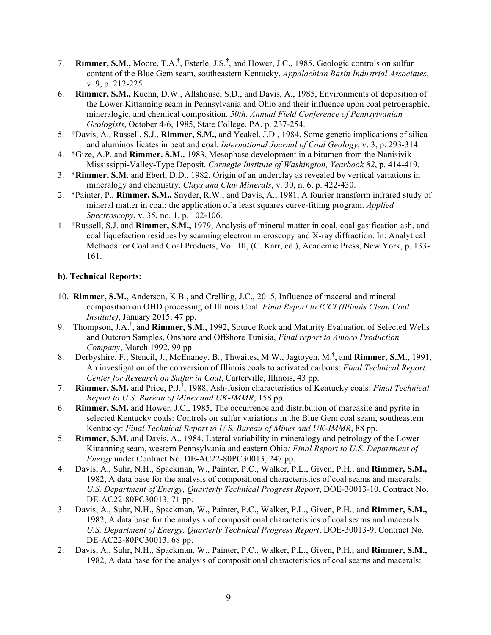- 7. **Rimmer, S.M.,** Moore, T.A.**†** , Esterle, J.S.**†** , and Hower, J.C., 1985, Geologic controls on sulfur content of the Blue Gem seam, southeastern Kentucky. *Appalachian Basin Industrial Associates*, v. 9, p. 212-225.
- 6. **Rimmer, S.M.,** Kuehn, D.W., Allshouse, S.D., and Davis, A., 1985, Environments of deposition of the Lower Kittanning seam in Pennsylvania and Ohio and their influence upon coal petrographic, mineralogic, and chemical composition. *50th. Annual Field Conference of Pennsylvanian Geologists*, October 4-6, 1985, State College, PA, p. 237-254.
- 5. \*Davis, A., Russell, S.J., **Rimmer, S.M.,** and Yeakel, J.D., 1984, Some genetic implications of silica and aluminosilicates in peat and coal. *International Journal of Coal Geology*, v. 3, p. 293-314.
- 4. \*Gize, A.P. and **Rimmer, S.M.,** 1983, Mesophase development in a bitumen from the Nanisivik Mississippi-Valley-Type Deposit. *Carnegie Institute of Washington, Yearbook 82*, p. 414-419.
- 3. \***Rimmer, S.M.** and Eberl, D.D., 1982, Origin of an underclay as revealed by vertical variations in mineralogy and chemistry. *Clays and Clay Minerals*, v. 30, n. 6, p. 422-430.
- 2. \*Painter, P., **Rimmer, S.M.,** Snyder, R.W., and Davis, A., 1981, A fourier transform infrared study of mineral matter in coal: the application of a least squares curve-fitting program. *Applied Spectroscopy*, v. 35, no. 1, p. 102-106.
- 1. \*Russell, S.J. and **Rimmer, S.M.,** 1979, Analysis of mineral matter in coal, coal gasification ash, and coal liquefaction residues by scanning electron microscopy and X-ray diffraction. In: Analytical Methods for Coal and Coal Products, Vol. III, (C. Karr, ed.), Academic Press, New York, p. 133- 161.

## **b). Technical Reports:**

- 10. **Rimmer, S.M.,** Anderson, K.B., and Crelling, J.C., 2015, Influence of maceral and mineral composition on OHD processing of Illinois Coal. *Final Report to ICCI (Illinois Clean Coal Institute)*, January 2015, 47 pp.
- 9. Thompson, J.A.**†** , and **Rimmer, S.M.,** 1992, Source Rock and Maturity Evaluation of Selected Wells and Outcrop Samples, Onshore and Offshore Tunisia, *Final report to Amoco Production Company*, March 1992, 99 pp.
- 8. Derbyshire, F., Stencil, J., McEnaney, B., Thwaites, M.W., Jagtoyen, M.**†** , and **Rimmer, S.M.,** 1991, An investigation of the conversion of Illinois coals to activated carbons: *Final Technical Report, Center for Research on Sulfur in Coal*, Carterville, Illinois, 43 pp.
- 7. **Rimmer, S.M.** and Price, P.J.**†** , 1988, Ash-fusion characteristics of Kentucky coals: *Final Technical Report to U.S. Bureau of Mines and UK-IMMR*, 158 pp.
- 6. **Rimmer, S.M.** and Hower, J.C., 1985, The occurrence and distribution of marcasite and pyrite in selected Kentucky coals: Controls on sulfur variations in the Blue Gem coal seam, southeastern Kentucky: *Final Technical Report to U.S. Bureau of Mines and UK-IMMR*, 88 pp.
- 5. **Rimmer, S.M.** and Davis, A., 1984, Lateral variability in mineralogy and petrology of the Lower Kittanning seam, western Pennsylvania and eastern Ohio*: Final Report to U.S. Department of Energy* under Contract No. DE-AC22-80PC30013, 247 pp.
- 4. Davis, A., Suhr, N.H., Spackman, W., Painter, P.C., Walker, P.L., Given, P.H., and **Rimmer, S.M.,** 1982, A data base for the analysis of compositional characteristics of coal seams and macerals: *U.S. Department of Energy, Quarterly Technical Progress Report*, DOE-30013-10, Contract No. DE-AC22-80PC30013, 71 pp.
- 3. Davis, A., Suhr, N.H., Spackman, W., Painter, P.C., Walker, P.L., Given, P.H., and **Rimmer, S.M.,** 1982, A data base for the analysis of compositional characteristics of coal seams and macerals: *U.S. Department of Energy, Quarterly Technical Progress Report*, DOE-30013-9, Contract No. DE-AC22-80PC30013, 68 pp.
- 2. Davis, A., Suhr, N.H., Spackman, W., Painter, P.C., Walker, P.L., Given, P.H., and **Rimmer, S.M.,** 1982, A data base for the analysis of compositional characteristics of coal seams and macerals: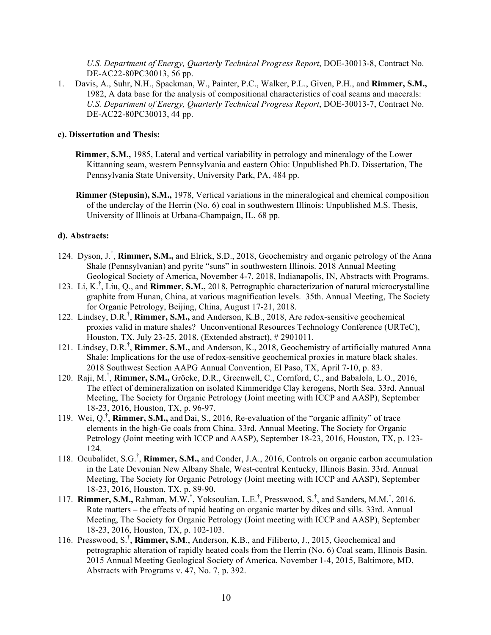*U.S. Department of Energy, Quarterly Technical Progress Report*, DOE-30013-8, Contract No. DE-AC22-80PC30013, 56 pp.

1. Davis, A., Suhr, N.H., Spackman, W., Painter, P.C., Walker, P.L., Given, P.H., and **Rimmer, S.M.,** 1982, A data base for the analysis of compositional characteristics of coal seams and macerals: *U.S. Department of Energy, Quarterly Technical Progress Report*, DOE-30013-7, Contract No. DE-AC22-80PC30013, 44 pp.

#### **c). Dissertation and Thesis:**

- **Rimmer, S.M.,** 1985, Lateral and vertical variability in petrology and mineralogy of the Lower Kittanning seam, western Pennsylvania and eastern Ohio: Unpublished Ph.D. Dissertation, The Pennsylvania State University, University Park, PA, 484 pp.
- **Rimmer (Stepusin), S.M.,** 1978, Vertical variations in the mineralogical and chemical composition of the underclay of the Herrin (No. 6) coal in southwestern Illinois: Unpublished M.S. Thesis, University of Illinois at Urbana-Champaign, IL, 68 pp.

### **d). Abstracts:**

- 124. Dyson, J.<sup>†</sup>, Rimmer, S.M., and Elrick, S.D., 2018, Geochemistry and organic petrology of the Anna Shale (Pennsylvanian) and pyrite "suns" in southwestern Illinois. 2018 Annual Meeting Geological Society of America, November 4-7, 2018, Indianapolis, IN, Abstracts with Programs.
- 123. Li, K.† , Liu, Q., and **Rimmer, S.M.,** 2018, Petrographic characterization of natural microcrystalline graphite from Hunan, China, at various magnification levels. 35th. Annual Meeting, The Society for Organic Petrology, Beijing, China, August 17-21, 2018.
- 122. Lindsey, D.R.† , **Rimmer, S.M.,** and Anderson, K.B., 2018, Are redox-sensitive geochemical proxies valid in mature shales? Unconventional Resources Technology Conference (URTeC), Houston, TX, July 23-25, 2018, (Extended abstract), # 2901011.
- 121. Lindsey, D.R.† , **Rimmer, S.M.,** and Anderson, K., 2018, Geochemistry of artificially matured Anna Shale: Implications for the use of redox-sensitive geochemical proxies in mature black shales. 2018 Southwest Section AAPG Annual Convention, El Paso, TX, April 7-10, p. 83.
- 120. Raji, M.† , **Rimmer, S.M.,** Gröcke, D.R., Greenwell, C., Cornford, C., and Babalola, L.O., 2016, The effect of demineralization on isolated Kimmeridge Clay kerogens, North Sea. 33rd. Annual Meeting, The Society for Organic Petrology (Joint meeting with ICCP and AASP), September 18-23, 2016, Houston, TX, p. 96-97.
- 119. Wei, Q.† , **Rimmer, S.M.,** and Dai, S., 2016, Re-evaluation of the "organic affinity" of trace elements in the high-Ge coals from China. 33rd. Annual Meeting, The Society for Organic Petrology (Joint meeting with ICCP and AASP), September 18-23, 2016, Houston, TX, p. 123- 124.
- 118. Ocubalidet, S.G.† , **Rimmer, S.M.,** and Conder, J.A., 2016, Controls on organic carbon accumulation in the Late Devonian New Albany Shale, West-central Kentucky, Illinois Basin. 33rd. Annual Meeting, The Society for Organic Petrology (Joint meeting with ICCP and AASP), September 18-23, 2016, Houston, TX, p. 89-90.
- 117. **Rimmer, S.M.,** Rahman, M.W.<sup>†</sup>, Yoksoulian, L.E.<sup>†</sup>, Presswood, S.<sup>†</sup>, and Sanders, M.M.<sup>†</sup>, 2016, Rate matters – the effects of rapid heating on organic matter by dikes and sills. 33rd. Annual Meeting, The Society for Organic Petrology (Joint meeting with ICCP and AASP), September 18-23, 2016, Houston, TX, p. 102-103.
- 116. Presswood, S.† , **Rimmer, S.M**., Anderson, K.B., and Filiberto, J., 2015, Geochemical and petrographic alteration of rapidly heated coals from the Herrin (No. 6) Coal seam, Illinois Basin. 2015 Annual Meeting Geological Society of America, November 1-4, 2015, Baltimore, MD, Abstracts with Programs v. 47, No. 7, p. 392.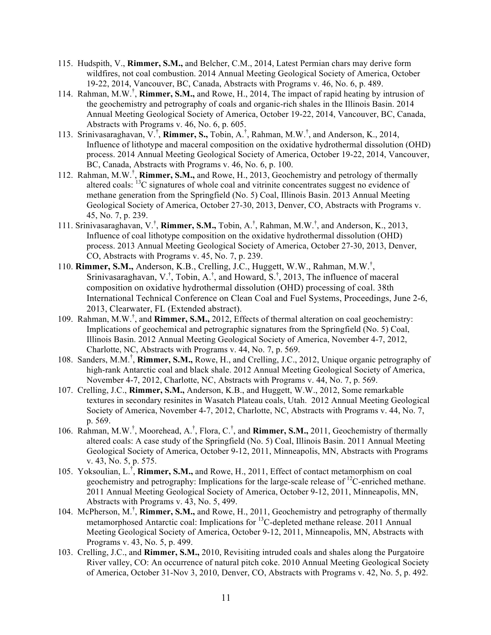- 115. Hudspith, V., **Rimmer, S.M.,** and Belcher, C.M., 2014, Latest Permian chars may derive form wildfires, not coal combustion. 2014 Annual Meeting Geological Society of America, October 19-22, 2014, Vancouver, BC, Canada, Abstracts with Programs v. 46, No. 6, p. 489.
- 114. Rahman, M.W.† , **Rimmer, S.M.,** and Rowe, H., 2014, The impact of rapid heating by intrusion of the geochemistry and petrography of coals and organic-rich shales in the Illinois Basin. 2014 Annual Meeting Geological Society of America, October 19-22, 2014, Vancouver, BC, Canada, Abstracts with Programs v. 46, No. 6, p. 605.
- 113. Srinivasaraghavan, V.† , **Rimmer, S.,** Tobin, A.† , Rahman, M.W.† , and Anderson, K., 2014, Influence of lithotype and maceral composition on the oxidative hydrothermal dissolution (OHD) process. 2014 Annual Meeting Geological Society of America, October 19-22, 2014, Vancouver, BC, Canada, Abstracts with Programs v. 46, No. 6, p. 100.
- 112. Rahman, M.W.† , **Rimmer, S.M.,** and Rowe, H., 2013, Geochemistry and petrology of thermally altered coals: <sup>13</sup>C signatures of whole coal and vitrinite concentrates suggest no evidence of methane generation from the Springfield (No. 5) Coal, Illinois Basin. 2013 Annual Meeting Geological Society of America, October 27-30, 2013, Denver, CO, Abstracts with Programs v. 45, No. 7, p. 239.
- 111. Srinivasaraghavan, V.† , **Rimmer, S.M.,** Tobin, A.† , Rahman, M.W.† , and Anderson, K., 2013, Influence of coal lithotype composition on the oxidative hydrothermal dissolution (OHD) process. 2013 Annual Meeting Geological Society of America, October 27-30, 2013, Denver, CO, Abstracts with Programs v. 45, No. 7, p. 239.
- 110. **Rimmer, S.M.,** Anderson, K.B., Crelling, J.C., Huggett, W.W., Rahman, M.W.† , Srinivasaraghavan, V.<sup>†</sup>, Tobin, A.<sup>†</sup>, and Howard, S.<sup>†</sup>, 2013, The influence of maceral composition on oxidative hydrothermal dissolution (OHD) processing of coal. 38th International Technical Conference on Clean Coal and Fuel Systems, Proceedings, June 2-6, 2013, Clearwater, FL (Extended abstract).
- 109. Rahman, M.W.† , and **Rimmer, S.M.,** 2012, Effects of thermal alteration on coal geochemistry: Implications of geochemical and petrographic signatures from the Springfield (No. 5) Coal, Illinois Basin. 2012 Annual Meeting Geological Society of America, November 4-7, 2012, Charlotte, NC, Abstracts with Programs v. 44, No. 7, p. 569.
- 108. Sanders, M.M.† , **Rimmer, S.M.,** Rowe, H., and Crelling, J.C., 2012, Unique organic petrography of high-rank Antarctic coal and black shale. 2012 Annual Meeting Geological Society of America, November 4-7, 2012, Charlotte, NC, Abstracts with Programs v. 44, No. 7, p. 569.
- 107. Crelling, J.C., **Rimmer, S.M.,** Anderson, K.B., and Huggett, W.W., 2012, Some remarkable textures in secondary resinites in Wasatch Plateau coals, Utah. 2012 Annual Meeting Geological Society of America, November 4-7, 2012, Charlotte, NC, Abstracts with Programs v. 44, No. 7, p. 569.
- 106. Rahman, M.W.† , Moorehead, A.† , Flora, C.† , and **Rimmer, S.M.,** 2011, Geochemistry of thermally altered coals: A case study of the Springfield (No. 5) Coal, Illinois Basin. 2011 Annual Meeting Geological Society of America, October 9-12, 2011, Minneapolis, MN, Abstracts with Programs v. 43, No. 5, p. 575.
- 105. Yoksoulian, L.† , **Rimmer, S.M.,** and Rowe, H., 2011, Effect of contact metamorphism on coal geochemistry and petrography: Implications for the large-scale release of  $^{12}$ C-enriched methane. 2011 Annual Meeting Geological Society of America, October 9-12, 2011, Minneapolis, MN, Abstracts with Programs v. 43, No. 5, 499.
- 104. McPherson, M.† , **Rimmer, S.M.,** and Rowe, H., 2011, Geochemistry and petrography of thermally metamorphosed Antarctic coal: Implications for 13C-depleted methane release. 2011 Annual Meeting Geological Society of America, October 9-12, 2011, Minneapolis, MN, Abstracts with Programs v. 43, No. 5, p. 499.
- 103. Crelling, J.C., and **Rimmer, S.M.,** 2010, Revisiting intruded coals and shales along the Purgatoire River valley, CO: An occurrence of natural pitch coke. 2010 Annual Meeting Geological Society of America, October 31-Nov 3, 2010, Denver, CO, Abstracts with Programs v. 42, No. 5, p. 492.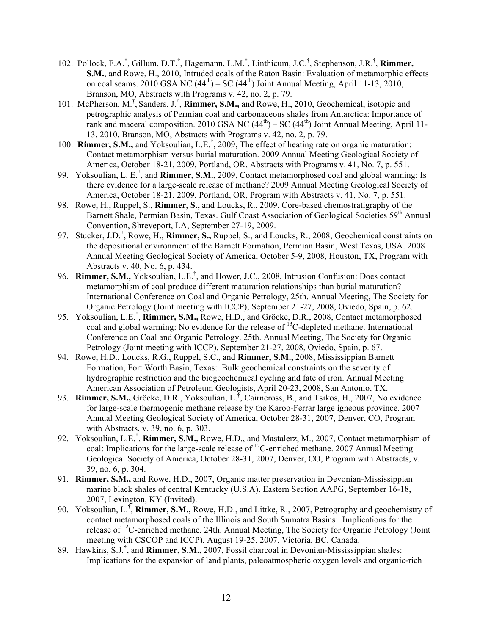- 102. Pollock, F.A.† , Gillum, D.T.† , Hagemann, L.M.† , Linthicum, J.C.† , Stephenson, J.R.† , **Rimmer, S.M.**, and Rowe, H., 2010, Intruded coals of the Raton Basin: Evaluation of metamorphic effects on coal seams. 2010 GSA NC  $(44<sup>th</sup>)$  – SC  $(44<sup>th</sup>)$  Joint Annual Meeting, April 11-13, 2010, Branson, MO, Abstracts with Programs v. 42, no. 2, p. 79.
- 101. McPherson, M.<sup>†</sup>, Sanders, J.<sup>†</sup>, Rimmer, S.M., and Rowe, H., 2010, Geochemical, isotopic and petrographic analysis of Permian coal and carbonaceous shales from Antarctica: Importance of rank and maceral composition. 2010 GSA NC  $(44<sup>th</sup>)$  – SC  $(44<sup>th</sup>)$  Joint Annual Meeting, April 11-13, 2010, Branson, MO, Abstracts with Programs v. 42, no. 2, p. 79.
- 100. **Rimmer, S.M.,** and Yoksoulian, L.E.† , 2009, The effect of heating rate on organic maturation: Contact metamorphism versus burial maturation. 2009 Annual Meeting Geological Society of America, October 18-21, 2009, Portland, OR, Abstracts with Programs v. 41, No. 7, p. 551.
- 99. Yoksoulian, L. E.† , and **Rimmer, S.M.,** 2009, Contact metamorphosed coal and global warming: Is there evidence for a large-scale release of methane? 2009 Annual Meeting Geological Society of America, October 18-21, 2009, Portland, OR, Program with Abstracts v. 41, No. 7, p. 551.
- 98. Rowe, H., Ruppel, S., **Rimmer, S.,** and Loucks, R., 2009, Core-based chemostratigraphy of the Barnett Shale, Permian Basin, Texas. Gulf Coast Association of Geological Societies 59<sup>th</sup> Annual Convention, Shreveport, LA, September 27-19, 2009.
- 97. Stucker, J.D.<sup>†</sup>, Rowe, H., **Rimmer, S.,** Ruppel, S., and Loucks, R., 2008, Geochemical constraints on the depositional environment of the Barnett Formation, Permian Basin, West Texas, USA. 2008 Annual Meeting Geological Society of America, October 5-9, 2008, Houston, TX, Program with Abstracts v. 40, No. 6, p. 434.
- 96. **Rimmer, S.M.,** Yoksoulian, L.E.<sup>†</sup>, and Hower, J.C., 2008, Intrusion Confusion: Does contact metamorphism of coal produce different maturation relationships than burial maturation? International Conference on Coal and Organic Petrology, 25th. Annual Meeting, The Society for Organic Petrology (Joint meeting with ICCP), September 21-27, 2008, Oviedo, Spain, p. 62.
- 95. Yoksoulian, L.E.† , **Rimmer, S.M.,** Rowe, H.D., and Gröcke, D.R., 2008, Contact metamorphosed coal and global warming: No evidence for the release of <sup>13</sup>C-depleted methane. International Conference on Coal and Organic Petrology. 25th. Annual Meeting, The Society for Organic Petrology (Joint meeting with ICCP), September 21-27, 2008, Oviedo, Spain, p. 67.
- 94. Rowe, H.D., Loucks, R.G., Ruppel, S.C., and **Rimmer, S.M.,** 2008, Mississippian Barnett Formation, Fort Worth Basin, Texas: Bulk geochemical constraints on the severity of hydrographic restriction and the biogeochemical cycling and fate of iron. Annual Meeting American Association of Petroleum Geologists, April 20-23, 2008, San Antonio, TX.
- 93. **Rimmer, S.M.,** Gröcke, D.R., Yoksoulian, L.<sup>†</sup>, Cairncross, B., and Tsikos, H., 2007, No evidence for large-scale thermogenic methane release by the Karoo-Ferrar large igneous province. 2007 Annual Meeting Geological Society of America, October 28-31, 2007, Denver, CO, Program with Abstracts, v. 39, no. 6, p. 303.
- 92. Yoksoulian, L.E.† , **Rimmer, S.M.,** Rowe, H.D., and Mastalerz, M., 2007, Contact metamorphism of coal: Implications for the large-scale release of 12C-enriched methane. 2007 Annual Meeting Geological Society of America, October 28-31, 2007, Denver, CO, Program with Abstracts, v. 39, no. 6, p. 304.
- 91. **Rimmer, S.M.,** and Rowe, H.D., 2007, Organic matter preservation in Devonian-Mississippian marine black shales of central Kentucky (U.S.A). Eastern Section AAPG, September 16-18, 2007, Lexington, KY (Invited).
- 90. Yoksoulian, L.**†** , **Rimmer, S.M.,** Rowe, H.D., and Littke, R., 2007, Petrography and geochemistry of contact metamorphosed coals of the Illinois and South Sumatra Basins: Implications for the release of <sup>12</sup>C-enriched methane. 24th. Annual Meeting, The Society for Organic Petrology (Joint meeting with CSCOP and ICCP), August 19-25, 2007, Victoria, BC, Canada.
- 89. Hawkins, S.J.**†** , and **Rimmer, S.M.,** 2007, Fossil charcoal in Devonian-Mississippian shales: Implications for the expansion of land plants, paleoatmospheric oxygen levels and organic-rich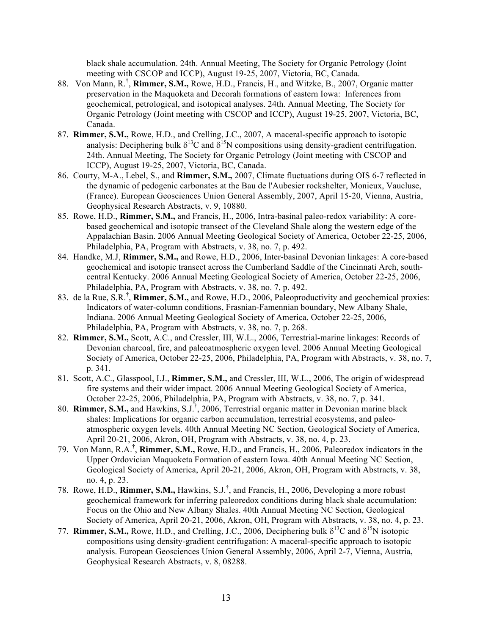black shale accumulation. 24th. Annual Meeting, The Society for Organic Petrology (Joint meeting with CSCOP and ICCP), August 19-25, 2007, Victoria, BC, Canada.

- 88. Von Mann, R.**†** , **Rimmer, S.M.,** Rowe, H.D., Francis, H., and Witzke, B., 2007, Organic matter preservation in the Maquoketa and Decorah formations of eastern Iowa: Inferences from geochemical, petrological, and isotopical analyses. 24th. Annual Meeting, The Society for Organic Petrology (Joint meeting with CSCOP and ICCP), August 19-25, 2007, Victoria, BC, Canada.
- 87. **Rimmer, S.M.,** Rowe, H.D., and Crelling, J.C., 2007, A maceral-specific approach to isotopic analysis: Deciphering bulk  $\delta^{13}C$  and  $\delta^{15}N$  compositions using density-gradient centrifugation. 24th. Annual Meeting, The Society for Organic Petrology (Joint meeting with CSCOP and ICCP), August 19-25, 2007, Victoria, BC, Canada.
- 86. Courty, M-A., Lebel, S., and **Rimmer, S.M.,** 2007, Climate fluctuations during OIS 6-7 reflected in the dynamic of pedogenic carbonates at the Bau de l'Aubesier rockshelter, Monieux, Vaucluse, (France). European Geosciences Union General Assembly, 2007, April 15-20, Vienna, Austria, Geophysical Research Abstracts, v. 9, 10880.
- 85. Rowe, H.D., **Rimmer, S.M.,** and Francis, H., 2006, Intra-basinal paleo-redox variability: A corebased geochemical and isotopic transect of the Cleveland Shale along the western edge of the Appalachian Basin. 2006 Annual Meeting Geological Society of America, October 22-25, 2006, Philadelphia, PA, Program with Abstracts, v. 38, no. 7, p. 492.
- 84. Handke, M.J, **Rimmer, S.M.,** and Rowe, H.D., 2006, Inter-basinal Devonian linkages: A core-based geochemical and isotopic transect across the Cumberland Saddle of the Cincinnati Arch, southcentral Kentucky. 2006 Annual Meeting Geological Society of America, October 22-25, 2006, Philadelphia, PA, Program with Abstracts, v. 38, no. 7, p. 492.
- 83. de la Rue, S.R.**†** , **Rimmer, S.M.,** and Rowe, H.D., 2006, Paleoproductivity and geochemical proxies: Indicators of water-column conditions, Frasnian-Famennian boundary, New Albany Shale, Indiana. 2006 Annual Meeting Geological Society of America, October 22-25, 2006, Philadelphia, PA, Program with Abstracts, v. 38, no. 7, p. 268.
- 82. **Rimmer, S.M.,** Scott, A.C., and Cressler, III, W.L., 2006, Terrestrial-marine linkages: Records of Devonian charcoal, fire, and paleoatmospheric oxygen level. 2006 Annual Meeting Geological Society of America, October 22-25, 2006, Philadelphia, PA, Program with Abstracts, v. 38, no. 7, p. 341.
- 81. Scott, A.C., Glasspool, I.J., **Rimmer, S.M.,** and Cressler, III, W.L., 2006, The origin of widespread fire systems and their wider impact. 2006 Annual Meeting Geological Society of America, October 22-25, 2006, Philadelphia, PA, Program with Abstracts, v. 38, no. 7, p. 341.
- 80. **Rimmer, S.M.,** and Hawkins, S.J.**†** , 2006, Terrestrial organic matter in Devonian marine black shales: Implications for organic carbon accumulation, terrestrial ecosystems, and paleoatmospheric oxygen levels. 40th Annual Meeting NC Section, Geological Society of America, April 20-21, 2006, Akron, OH, Program with Abstracts, v. 38, no. 4, p. 23.
- 79. Von Mann, R.A.**†** , **Rimmer, S.M.,** Rowe, H.D., and Francis, H., 2006, Paleoredox indicators in the Upper Ordovician Maquoketa Formation of eastern Iowa. 40th Annual Meeting NC Section, Geological Society of America, April 20-21, 2006, Akron, OH, Program with Abstracts, v. 38, no. 4, p. 23.
- 78. Rowe, H.D., **Rimmer, S.M.,** Hawkins, S.J.**†** , and Francis, H., 2006, Developing a more robust geochemical framework for inferring paleoredox conditions during black shale accumulation: Focus on the Ohio and New Albany Shales. 40th Annual Meeting NC Section, Geological Society of America, April 20-21, 2006, Akron, OH, Program with Abstracts, v. 38, no. 4, p. 23.
- 77. **Rimmer, S.M.,** Rowe, H.D., and Crelling, J.C., 2006. Deciphering bulk  $\delta^{13}$ C and  $\delta^{15}$ N isotopic compositions using density-gradient centrifugation: A maceral-specific approach to isotopic analysis. European Geosciences Union General Assembly, 2006, April 2-7, Vienna, Austria, Geophysical Research Abstracts, v. 8, 08288.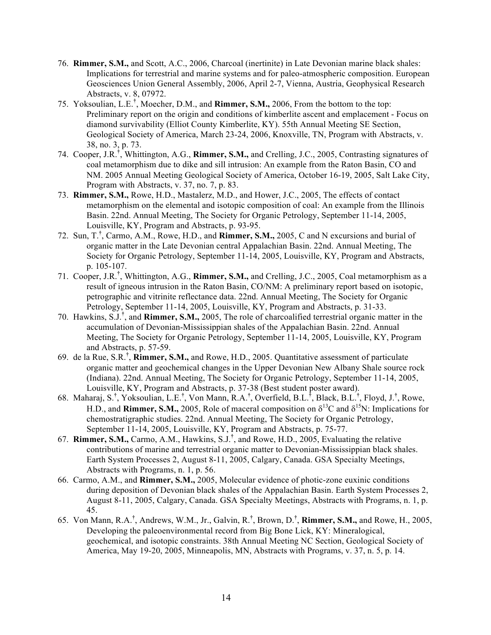- 76. **Rimmer, S.M.,** and Scott, A.C., 2006, Charcoal (inertinite) in Late Devonian marine black shales: Implications for terrestrial and marine systems and for paleo-atmospheric composition. European Geosciences Union General Assembly, 2006, April 2-7, Vienna, Austria, Geophysical Research Abstracts, v. 8, 07972.
- 75. Yoksoulian, L.E.**†** , Moecher, D.M., and **Rimmer, S.M.,** 2006, From the bottom to the top: Preliminary report on the origin and conditions of kimberlite ascent and emplacement - Focus on diamond survivability (Elliot County Kimberlite, KY). 55th Annual Meeting SE Section, Geological Society of America, March 23-24, 2006, Knoxville, TN, Program with Abstracts, v. 38, no. 3, p. 73.
- 74. Cooper, J.R.**†** , Whittington, A.G., **Rimmer, S.M.,** and Crelling, J.C., 2005, Contrasting signatures of coal metamorphism due to dike and sill intrusion: An example from the Raton Basin, CO and NM. 2005 Annual Meeting Geological Society of America, October 16-19, 2005, Salt Lake City, Program with Abstracts, v. 37, no. 7, p. 83.
- 73. **Rimmer, S.M.,** Rowe, H.D., Mastalerz, M.D., and Hower, J.C., 2005, The effects of contact metamorphism on the elemental and isotopic composition of coal: An example from the Illinois Basin. 22nd. Annual Meeting, The Society for Organic Petrology, September 11-14, 2005, Louisville, KY, Program and Abstracts, p. 93-95.
- 72. Sun, T.**†** , Carmo, A.M., Rowe, H.D., and **Rimmer, S.M.,** 2005, C and N excursions and burial of organic matter in the Late Devonian central Appalachian Basin. 22nd. Annual Meeting, The Society for Organic Petrology, September 11-14, 2005, Louisville, KY, Program and Abstracts, p. 105-107.
- 71. Cooper, J.R.**†** , Whittington, A.G., **Rimmer, S.M.,** and Crelling, J.C., 2005, Coal metamorphism as a result of igneous intrusion in the Raton Basin, CO/NM: A preliminary report based on isotopic, petrographic and vitrinite reflectance data. 22nd. Annual Meeting, The Society for Organic Petrology, September 11-14, 2005, Louisville, KY, Program and Abstracts, p. 31-33.
- 70. Hawkins, S.J.**†** , and **Rimmer, S.M.,** 2005, The role of charcoalified terrestrial organic matter in the accumulation of Devonian-Mississippian shales of the Appalachian Basin. 22nd. Annual Meeting, The Society for Organic Petrology, September 11-14, 2005, Louisville, KY, Program and Abstracts, p. 57-59.
- 69. de la Rue, S.R.**†** , **Rimmer, S.M.,** and Rowe, H.D., 2005. Quantitative assessment of particulate organic matter and geochemical changes in the Upper Devonian New Albany Shale source rock (Indiana). 22nd. Annual Meeting, The Society for Organic Petrology, September 11-14, 2005, Louisville, KY, Program and Abstracts, p. 37-38 (Best student poster award).
- 68. Maharaj, S.**†** , Yoksoulian, L.E.**†** , Von Mann, R.A.**†** , Overfield, B.L.**†** , Black, B.L.**†** , Floyd, J.**†** , Rowe, H.D., and **Rimmer, S.M.,** 2005. Role of maceral composition on  $\delta^{13}$ C and  $\delta^{15}$ N: Implications for chemostratigraphic studies. 22nd. Annual Meeting, The Society for Organic Petrology, September 11-14, 2005, Louisville, KY, Program and Abstracts, p. 75-77.
- 67. **Rimmer, S.M.,** Carmo, A.M., Hawkins, S.J.**†** , and Rowe, H.D., 2005, Evaluating the relative contributions of marine and terrestrial organic matter to Devonian-Mississippian black shales. Earth System Processes 2, August 8-11, 2005, Calgary, Canada. GSA Specialty Meetings, Abstracts with Programs, n. 1, p. 56.
- 66. Carmo, A.M., and **Rimmer, S.M.,** 2005, Molecular evidence of photic-zone euxinic conditions during deposition of Devonian black shales of the Appalachian Basin. Earth System Processes 2, August 8-11, 2005, Calgary, Canada. GSA Specialty Meetings, Abstracts with Programs, n. 1, p. 45.
- 65. Von Mann, R.A.**†** , Andrews, W.M., Jr., Galvin, R.**†** , Brown, D.**†** , **Rimmer, S.M.,** and Rowe, H., 2005, Developing the paleoenvironmental record from Big Bone Lick, KY: Mineralogical, geochemical, and isotopic constraints. 38th Annual Meeting NC Section, Geological Society of America, May 19-20, 2005, Minneapolis, MN, Abstracts with Programs, v. 37, n. 5, p. 14.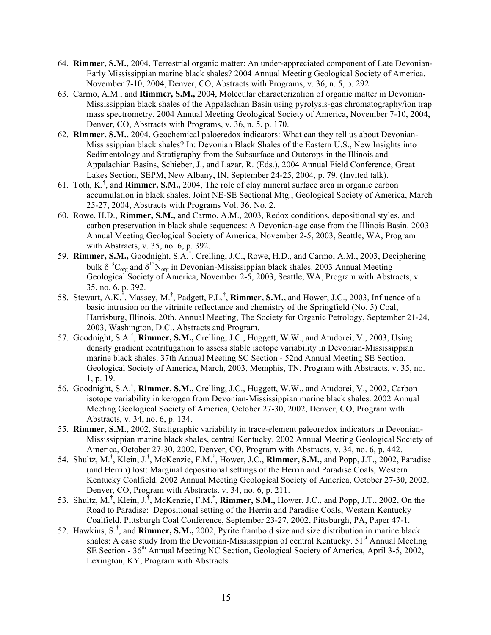- 64. **Rimmer, S.M.,** 2004, Terrestrial organic matter: An under-appreciated component of Late Devonian-Early Mississippian marine black shales? 2004 Annual Meeting Geological Society of America, November 7-10, 2004, Denver, CO, Abstracts with Programs, v. 36, n. 5, p. 292.
- 63. Carmo, A.M., and **Rimmer, S.M.,** 2004, Molecular characterization of organic matter in Devonian-Mississippian black shales of the Appalachian Basin using pyrolysis-gas chromatography/ion trap mass spectrometry. 2004 Annual Meeting Geological Society of America, November 7-10, 2004, Denver, CO, Abstracts with Programs, v. 36, n. 5, p. 170.
- 62. **Rimmer, S.M.,** 2004, Geochemical paloeredox indicators: What can they tell us about Devonian-Mississippian black shales? In: Devonian Black Shales of the Eastern U.S., New Insights into Sedimentology and Stratigraphy from the Subsurface and Outcrops in the Illinois and Appalachian Basins, Schieber, J., and Lazar, R. (Eds.), 2004 Annual Field Conference, Great Lakes Section, SEPM, New Albany, IN, September 24-25, 2004, p. 79. (Invited talk).
- 61. Toth, K.**†** , and **Rimmer, S.M.,** 2004, The role of clay mineral surface area in organic carbon accumulation in black shales. Joint NE-SE Sectional Mtg., Geological Society of America, March 25-27, 2004, Abstracts with Programs Vol. 36, No. 2.
- 60. Rowe, H.D., **Rimmer, S.M.,** and Carmo, A.M., 2003, Redox conditions, depositional styles, and carbon preservation in black shale sequences: A Devonian-age case from the Illinois Basin. 2003 Annual Meeting Geological Society of America, November 2-5, 2003, Seattle, WA, Program with Abstracts, v. 35, no. 6, p. 392.
- 59. **Rimmer, S.M.,** Goodnight, S.A.**†** , Crelling, J.C., Rowe, H.D., and Carmo, A.M., 2003, Deciphering bulk  $\delta^{13}C_{org}$  and  $\delta^{15}N_{org}$  in Devonian-Mississippian black shales. 2003 Annual Meeting Geological Society of America, November 2-5, 2003, Seattle, WA, Program with Abstracts, v. 35, no. 6, p. 392.
- 58. Stewart, A.K.† , Massey, M.† , Padgett, P.L.† , **Rimmer, S.M.,** and Hower, J.C., 2003, Influence of a basic intrusion on the vitrinite reflectance and chemistry of the Springfield (No. 5) Coal, Harrisburg, Illinois. 20th. Annual Meeting, The Society for Organic Petrology, September 21-24, 2003, Washington, D.C., Abstracts and Program.
- 57. Goodnight, S.A.**†** , **Rimmer, S.M.,** Crelling, J.C., Huggett, W.W., and Atudorei, V., 2003, Using density gradient centrifugation to assess stable isotope variability in Devonian-Mississippian marine black shales. 37th Annual Meeting SC Section - 52nd Annual Meeting SE Section, Geological Society of America, March, 2003, Memphis, TN, Program with Abstracts, v. 35, no. 1, p. 19.
- 56. Goodnight, S.A.**†** , **Rimmer, S.M.,** Crelling, J.C., Huggett, W.W., and Atudorei, V., 2002, Carbon isotope variability in kerogen from Devonian-Mississippian marine black shales. 2002 Annual Meeting Geological Society of America, October 27-30, 2002, Denver, CO, Program with Abstracts, v. 34, no. 6, p. 134.
- 55. **Rimmer, S.M.,** 2002, Stratigraphic variability in trace-element paleoredox indicators in Devonian-Mississippian marine black shales, central Kentucky. 2002 Annual Meeting Geological Society of America, October 27-30, 2002, Denver, CO, Program with Abstracts, v. 34, no. 6, p. 442.
- 54. Shultz, M.**†** , Klein, J.**†** , McKenzie, F.M.**†** , Hower, J.C., **Rimmer, S.M.,** and Popp, J.T., 2002, Paradise (and Herrin) lost: Marginal depositional settings of the Herrin and Paradise Coals, Western Kentucky Coalfield. 2002 Annual Meeting Geological Society of America, October 27-30, 2002, Denver, CO, Program with Abstracts. v. 34, no. 6, p. 211.
- 53. Shultz, M.**†** , Klein, J.**†** , McKenzie, F.M.**†** , **Rimmer, S.M.,** Hower, J.C., and Popp, J.T., 2002, On the Road to Paradise: Depositional setting of the Herrin and Paradise Coals, Western Kentucky Coalfield. Pittsburgh Coal Conference, September 23-27, 2002, Pittsburgh, PA, Paper 47-1.
- 52. Hawkins, S.**†** , and **Rimmer, S.M.,** 2002, Pyrite framboid size and size distribution in marine black shales: A case study from the Devonian-Mississippian of central Kentucky.  $51<sup>st</sup>$  Annual Meeting SE Section - 36<sup>th</sup> Annual Meeting NC Section, Geological Society of America, April 3-5, 2002, Lexington, KY, Program with Abstracts.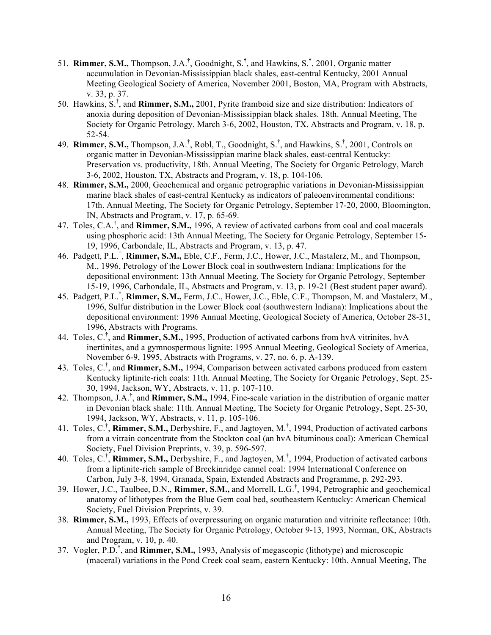- 51. **Rimmer, S.M.,** Thompson, J.A.**†** , Goodnight, S.**†** , and Hawkins, S.**†** , 2001, Organic matter accumulation in Devonian-Mississippian black shales, east-central Kentucky, 2001 Annual Meeting Geological Society of America, November 2001, Boston, MA, Program with Abstracts, v. 33, p. 37.
- 50. Hawkins, S.† , and **Rimmer, S.M.,** 2001, Pyrite framboid size and size distribution: Indicators of anoxia during deposition of Devonian-Mississippian black shales. 18th. Annual Meeting, The Society for Organic Petrology, March 3-6, 2002, Houston, TX, Abstracts and Program, v. 18, p. 52-54.
- 49. **Rimmer, S.M.,** Thompson, J.A.**†** , Robl, T., Goodnight, S.**†** , and Hawkins, S.**†** , 2001, Controls on organic matter in Devonian-Mississippian marine black shales, east-central Kentucky: Preservation vs. productivity, 18th. Annual Meeting, The Society for Organic Petrology, March 3-6, 2002, Houston, TX, Abstracts and Program, v. 18, p. 104-106.
- 48. **Rimmer, S.M.,** 2000, Geochemical and organic petrographic variations in Devonian-Mississippian marine black shales of east-central Kentucky as indicators of paleoenvironmental conditions: 17th. Annual Meeting, The Society for Organic Petrology, September 17-20, 2000, Bloomington, IN, Abstracts and Program, v. 17, p. 65-69.
- 47. Toles, C.A.**†** , and **Rimmer, S.M.,** 1996, A review of activated carbons from coal and coal macerals using phosphoric acid: 13th Annual Meeting, The Society for Organic Petrology, September 15- 19, 1996, Carbondale, IL, Abstracts and Program, v. 13, p. 47.
- 46. Padgett, P.L.**†** , **Rimmer, S.M.,** Eble, C.F., Ferm, J.C., Hower, J.C., Mastalerz, M., and Thompson, M., 1996, Petrology of the Lower Block coal in southwestern Indiana: Implications for the depositional environment: 13th Annual Meeting, The Society for Organic Petrology, September 15-19, 1996, Carbondale, IL, Abstracts and Program, v. 13, p. 19-21 (Best student paper award).
- 45. Padgett, P.L.**†** , **Rimmer, S.M.,** Ferm, J.C., Hower, J.C., Eble, C.F., Thompson, M. and Mastalerz, M., 1996, Sulfur distribution in the Lower Block coal (southwestern Indiana): Implications about the depositional environment: 1996 Annual Meeting, Geological Society of America, October 28-31, 1996, Abstracts with Programs.
- 44. Toles, C.**†** , and **Rimmer, S.M.,** 1995, Production of activated carbons from hvA vitrinites, hvA inertinites, and a gymnospermous lignite: 1995 Annual Meeting, Geological Society of America, November 6-9, 1995, Abstracts with Programs, v. 27, no. 6, p. A-139.
- 43. Toles, C.**†** , and **Rimmer, S.M.,** 1994, Comparison between activated carbons produced from eastern Kentucky liptinite-rich coals: 11th. Annual Meeting, The Society for Organic Petrology, Sept. 25- 30, 1994, Jackson, WY, Abstracts, v. 11, p. 107-110.
- 42. Thompson, J.A.**†** , and **Rimmer, S.M.,** 1994, Fine-scale variation in the distribution of organic matter in Devonian black shale: 11th. Annual Meeting, The Society for Organic Petrology, Sept. 25-30, 1994, Jackson, WY, Abstracts, v. 11, p. 105-106.
- 41. Toles, C.**†** , **Rimmer, S.M.,** Derbyshire, F., and Jagtoyen, M.**†** , 1994, Production of activated carbons from a vitrain concentrate from the Stockton coal (an hvA bituminous coal): American Chemical Society, Fuel Division Preprints, v. 39, p. 596-597.
- 40. Toles, C.**†** , **Rimmer, S.M.,** Derbyshire, F., and Jagtoyen, M.**†** , 1994, Production of activated carbons from a liptinite-rich sample of Breckinridge cannel coal: 1994 International Conference on Carbon, July 3-8, 1994, Granada, Spain, Extended Abstracts and Programme, p. 292-293.
- 39. Hower, J.C., Taulbee, D.N., **Rimmer, S.M.,** and Morrell, L.G.**†** , 1994, Petrographic and geochemical anatomy of lithotypes from the Blue Gem coal bed, southeastern Kentucky: American Chemical Society, Fuel Division Preprints, v. 39.
- 38. **Rimmer, S.M.,** 1993, Effects of overpressuring on organic maturation and vitrinite reflectance: 10th. Annual Meeting, The Society for Organic Petrology, October 9-13, 1993, Norman, OK, Abstracts and Program, v. 10, p. 40.
- 37. Vogler, P.D.**†** , and **Rimmer, S.M.,** 1993, Analysis of megascopic (lithotype) and microscopic (maceral) variations in the Pond Creek coal seam, eastern Kentucky: 10th. Annual Meeting, The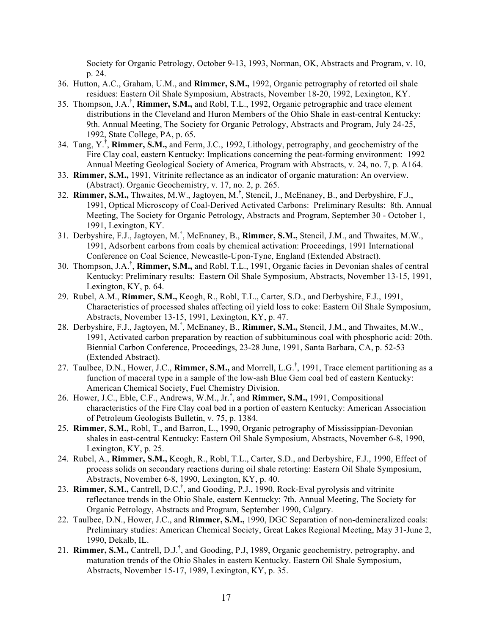Society for Organic Petrology, October 9-13, 1993, Norman, OK, Abstracts and Program, v. 10, p. 24.

- 36. Hutton, A.C., Graham, U.M., and **Rimmer, S.M.,** 1992, Organic petrography of retorted oil shale residues: Eastern Oil Shale Symposium, Abstracts, November 18-20, 1992, Lexington, KY.
- 35. Thompson, J.A.**†** , **Rimmer, S.M.,** and Robl, T.L., 1992, Organic petrographic and trace element distributions in the Cleveland and Huron Members of the Ohio Shale in east-central Kentucky: 9th. Annual Meeting, The Society for Organic Petrology, Abstracts and Program, July 24-25, 1992, State College, PA, p. 65.
- 34. Tang, Y.**†** , **Rimmer, S.M.,** and Ferm, J.C., 1992, Lithology, petrography, and geochemistry of the Fire Clay coal, eastern Kentucky: Implications concerning the peat-forming environment: 1992 Annual Meeting Geological Society of America, Program with Abstracts, v. 24, no. 7, p. A164.
- 33. **Rimmer, S.M.,** 1991, Vitrinite reflectance as an indicator of organic maturation: An overview. (Abstract). Organic Geochemistry, v. 17, no. 2, p. 265.
- 32. **Rimmer, S.M.,** Thwaites, M.W., Jagtoyen, M.**†** , Stencil, J., McEnaney, B., and Derbyshire, F.J., 1991, Optical Microscopy of Coal-Derived Activated Carbons: Preliminary Results: 8th. Annual Meeting, The Society for Organic Petrology, Abstracts and Program, September 30 - October 1, 1991, Lexington, KY.
- 31. Derbyshire, F.J., Jagtoyen, M.**†** , McEnaney, B., **Rimmer, S.M.,** Stencil, J.M., and Thwaites, M.W., 1991, Adsorbent carbons from coals by chemical activation: Proceedings, 1991 International Conference on Coal Science, Newcastle-Upon-Tyne, England (Extended Abstract).
- 30. Thompson, J.A.**†** , **Rimmer, S.M.,** and Robl, T.L., 1991, Organic facies in Devonian shales of central Kentucky: Preliminary results: Eastern Oil Shale Symposium, Abstracts, November 13-15, 1991, Lexington, KY, p. 64.
- 29. Rubel, A.M., **Rimmer, S.M.,** Keogh, R., Robl, T.L., Carter, S.D., and Derbyshire, F.J., 1991, Characteristics of processed shales affecting oil yield loss to coke: Eastern Oil Shale Symposium, Abstracts, November 13-15, 1991, Lexington, KY, p. 47.
- 28. Derbyshire, F.J., Jagtoyen, M.**†** , McEnaney, B., **Rimmer, S.M.,** Stencil, J.M., and Thwaites, M.W., 1991, Activated carbon preparation by reaction of subbituminous coal with phosphoric acid: 20th. Biennial Carbon Conference, Proceedings, 23-28 June, 1991, Santa Barbara, CA, p. 52-53 (Extended Abstract).
- 27. Taulbee, D.N., Hower, J.C., **Rimmer, S.M.,** and Morrell, L.G.**†** , 1991, Trace element partitioning as a function of maceral type in a sample of the low-ash Blue Gem coal bed of eastern Kentucky: American Chemical Society, Fuel Chemistry Division.
- 26. Hower, J.C., Eble, C.F., Andrews, W.M., Jr.**†** , and **Rimmer, S.M.,** 1991, Compositional characteristics of the Fire Clay coal bed in a portion of eastern Kentucky: American Association of Petroleum Geologists Bulletin, v. 75, p. 1384.
- 25. **Rimmer, S.M.,** Robl, T., and Barron, L., 1990, Organic petrography of Mississippian-Devonian shales in east-central Kentucky: Eastern Oil Shale Symposium, Abstracts, November 6-8, 1990, Lexington, KY, p. 25.
- 24. Rubel, A., **Rimmer, S.M.,** Keogh, R., Robl, T.L., Carter, S.D., and Derbyshire, F.J., 1990, Effect of process solids on secondary reactions during oil shale retorting: Eastern Oil Shale Symposium, Abstracts, November 6-8, 1990, Lexington, KY, p. 40.
- 23. **Rimmer, S.M.,** Cantrell, D.C.**†** , and Gooding, P.J., 1990, Rock-Eval pyrolysis and vitrinite reflectance trends in the Ohio Shale, eastern Kentucky: 7th. Annual Meeting, The Society for Organic Petrology, Abstracts and Program, September 1990, Calgary.
- 22. Taulbee, D.N., Hower, J.C., and **Rimmer, S.M.,** 1990, DGC Separation of non-demineralized coals: Preliminary studies: American Chemical Society, Great Lakes Regional Meeting, May 31-June 2, 1990, Dekalb, IL.
- 21. **Rimmer, S.M.,** Cantrell, D.J.**†** , and Gooding, P.J, 1989, Organic geochemistry, petrography, and maturation trends of the Ohio Shales in eastern Kentucky. Eastern Oil Shale Symposium, Abstracts, November 15-17, 1989, Lexington, KY, p. 35.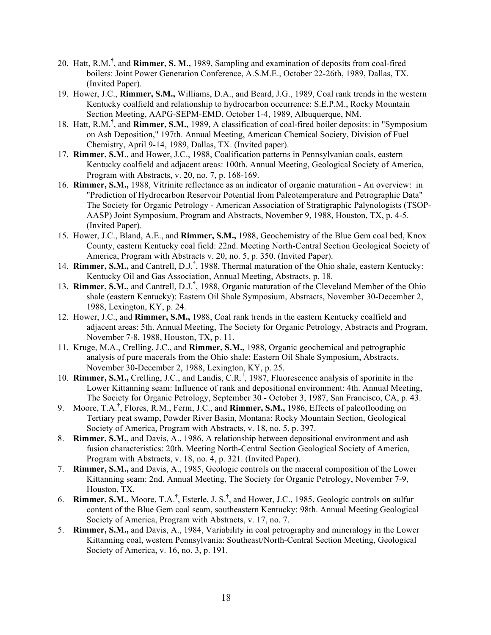- 20. Hatt, R.M.**†** , and **Rimmer, S. M.,** 1989, Sampling and examination of deposits from coal-fired boilers: Joint Power Generation Conference, A.S.M.E., October 22-26th, 1989, Dallas, TX. (Invited Paper).
- 19. Hower, J.C., **Rimmer, S.M.,** Williams, D.A., and Beard, J.G., 1989, Coal rank trends in the western Kentucky coalfield and relationship to hydrocarbon occurrence: S.E.P.M., Rocky Mountain Section Meeting, AAPG-SEPM-EMD, October 1-4, 1989, Albuquerque, NM.
- 18. Hatt, R.M.**†** , and **Rimmer, S.M.,** 1989, A classification of coal-fired boiler deposits: in "Symposium on Ash Deposition," 197th. Annual Meeting, American Chemical Society, Division of Fuel Chemistry, April 9-14, 1989, Dallas, TX. (Invited paper).
- 17. **Rimmer, S.M**., and Hower, J.C., 1988, Coalification patterns in Pennsylvanian coals, eastern Kentucky coalfield and adjacent areas: 100th. Annual Meeting, Geological Society of America, Program with Abstracts, v. 20, no. 7, p. 168-169.
- 16. **Rimmer, S.M.,** 1988, Vitrinite reflectance as an indicator of organic maturation An overview: in "Prediction of Hydrocarbon Reservoir Potential from Paleotemperature and Petrographic Data" The Society for Organic Petrology - American Association of Stratigraphic Palynologists (TSOP-AASP) Joint Symposium, Program and Abstracts, November 9, 1988, Houston, TX, p. 4-5. (Invited Paper).
- 15. Hower, J.C., Bland, A.E., and **Rimmer, S.M.,** 1988, Geochemistry of the Blue Gem coal bed, Knox County, eastern Kentucky coal field: 22nd. Meeting North-Central Section Geological Society of America, Program with Abstracts v. 20, no. 5, p. 350. (Invited Paper).
- 14. **Rimmer, S.M.,** and Cantrell, D.J.**†** , 1988, Thermal maturation of the Ohio shale, eastern Kentucky: Kentucky Oil and Gas Association, Annual Meeting, Abstracts, p. 18.
- 13. **Rimmer, S.M.,** and Cantrell, D.J.**†** , 1988, Organic maturation of the Cleveland Member of the Ohio shale (eastern Kentucky): Eastern Oil Shale Symposium, Abstracts, November 30-December 2, 1988, Lexington, KY, p. 24.
- 12. Hower, J.C., and **Rimmer, S.M.,** 1988, Coal rank trends in the eastern Kentucky coalfield and adjacent areas: 5th. Annual Meeting, The Society for Organic Petrology, Abstracts and Program, November 7-8, 1988, Houston, TX, p. 11.
- 11. Kruge, M.A., Crelling, J.C., and **Rimmer, S.M.,** 1988, Organic geochemical and petrographic analysis of pure macerals from the Ohio shale: Eastern Oil Shale Symposium, Abstracts, November 30-December 2, 1988, Lexington, KY, p. 25.
- 10. **Rimmer, S.M.,** Crelling, J.C., and Landis, C.R.**†** , 1987, Fluorescence analysis of sporinite in the Lower Kittanning seam: Influence of rank and depositional environment: 4th. Annual Meeting, The Society for Organic Petrology, September 30 - October 3, 1987, San Francisco, CA, p. 43.
- 9. Moore, T.A.**†** , Flores, R.M., Ferm, J.C., and **Rimmer, S.M.,** 1986, Effects of paleoflooding on Tertiary peat swamp, Powder River Basin, Montana: Rocky Mountain Section, Geological Society of America, Program with Abstracts, v. 18, no. 5, p. 397.
- 8. **Rimmer, S.M.,** and Davis, A., 1986, A relationship between depositional environment and ash fusion characteristics: 20th. Meeting North-Central Section Geological Society of America, Program with Abstracts, v. 18, no. 4, p. 321. (Invited Paper).
- 7. **Rimmer, S.M.,** and Davis, A., 1985, Geologic controls on the maceral composition of the Lower Kittanning seam: 2nd. Annual Meeting, The Society for Organic Petrology, November 7-9, Houston, TX.
- 6. **Rimmer, S.M.,** Moore, T.A.**†** , Esterle, J. S.**†** , and Hower, J.C., 1985, Geologic controls on sulfur content of the Blue Gem coal seam, southeastern Kentucky: 98th. Annual Meeting Geological Society of America, Program with Abstracts, v. 17, no. 7.
- 5. **Rimmer, S.M.,** and Davis, A., 1984, Variability in coal petrography and mineralogy in the Lower Kittanning coal, western Pennsylvania: Southeast/North-Central Section Meeting, Geological Society of America, v. 16, no. 3, p. 191.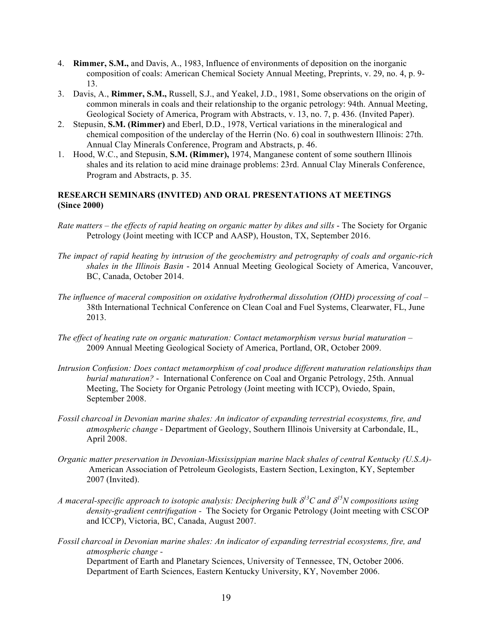- 4. **Rimmer, S.M.,** and Davis, A., 1983, Influence of environments of deposition on the inorganic composition of coals: American Chemical Society Annual Meeting, Preprints, v. 29, no. 4, p. 9- 13.
- 3. Davis, A., **Rimmer, S.M.,** Russell, S.J., and Yeakel, J.D., 1981, Some observations on the origin of common minerals in coals and their relationship to the organic petrology: 94th. Annual Meeting, Geological Society of America, Program with Abstracts, v. 13, no. 7, p. 436. (Invited Paper).
- 2. Stepusin, **S.M. (Rimmer)** and Eberl, D.D., 1978, Vertical variations in the mineralogical and chemical composition of the underclay of the Herrin (No. 6) coal in southwestern Illinois: 27th. Annual Clay Minerals Conference, Program and Abstracts, p. 46.
- 1. Hood, W.C., and Stepusin, **S.M. (Rimmer),** 1974, Manganese content of some southern Illinois shales and its relation to acid mine drainage problems: 23rd. Annual Clay Minerals Conference, Program and Abstracts, p. 35.

# **RESEARCH SEMINARS (INVITED) AND ORAL PRESENTATIONS AT MEETINGS (Since 2000)**

- *Rate matters – the effects of rapid heating on organic matter by dikes and sills* The Society for Organic Petrology (Joint meeting with ICCP and AASP), Houston, TX, September 2016.
- *The impact of rapid heating by intrusion of the geochemistry and petrography of coals and organic-rich shales in the Illinois Basin* - 2014 Annual Meeting Geological Society of America, Vancouver, BC, Canada, October 2014.
- *The influence of maceral composition on oxidative hydrothermal dissolution (OHD) processing of coal –* 38th International Technical Conference on Clean Coal and Fuel Systems, Clearwater, FL, June 2013.
- *The effect of heating rate on organic maturation: Contact metamorphism versus burial maturation* 2009 Annual Meeting Geological Society of America, Portland, OR, October 2009.
- *Intrusion Confusion: Does contact metamorphism of coal produce different maturation relationships than burial maturation?* - International Conference on Coal and Organic Petrology, 25th. Annual Meeting, The Society for Organic Petrology (Joint meeting with ICCP), Oviedo, Spain, September 2008.
- *Fossil charcoal in Devonian marine shales: An indicator of expanding terrestrial ecosystems, fire, and atmospheric change -* Department of Geology, Southern Illinois University at Carbondale, IL, April 2008.
- *Organic matter preservation in Devonian-Mississippian marine black shales of central Kentucky (U.S.A)-* American Association of Petroleum Geologists, Eastern Section, Lexington, KY, September 2007 (Invited).
- A maceral-specific approach to isotopic analysis: Deciphering bulk  $\delta^{l3}C$  and  $\delta^{l5}N$  compositions using *density-gradient centrifugation -* The Society for Organic Petrology (Joint meeting with CSCOP and ICCP), Victoria, BC, Canada, August 2007.
- *Fossil charcoal in Devonian marine shales: An indicator of expanding terrestrial ecosystems, fire, and atmospheric change -*

Department of Earth and Planetary Sciences, University of Tennessee, TN, October 2006. Department of Earth Sciences, Eastern Kentucky University, KY, November 2006.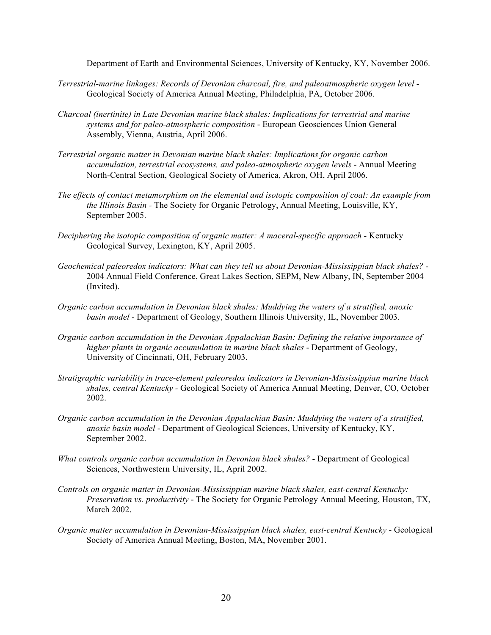Department of Earth and Environmental Sciences, University of Kentucky, KY, November 2006.

- *Terrestrial-marine linkages: Records of Devonian charcoal, fire, and paleoatmospheric oxygen level -* Geological Society of America Annual Meeting, Philadelphia, PA, October 2006.
- *Charcoal (inertinite) in Late Devonian marine black shales: Implications for terrestrial and marine systems and for paleo-atmospheric composition* - European Geosciences Union General Assembly, Vienna, Austria, April 2006.
- *Terrestrial organic matter in Devonian marine black shales: Implications for organic carbon accumulation, terrestrial ecosystems, and paleo-atmospheric oxygen levels* - Annual Meeting North-Central Section, Geological Society of America, Akron, OH, April 2006.
- *The effects of contact metamorphism on the elemental and isotopic composition of coal: An example from the Illinois Basin -* The Society for Organic Petrology, Annual Meeting, Louisville, KY, September 2005.
- *Deciphering the isotopic composition of organic matter: A maceral-specific approach -* Kentucky Geological Survey, Lexington, KY, April 2005.
- *Geochemical paleoredox indicators: What can they tell us about Devonian-Mississippian black shales?* 2004 Annual Field Conference, Great Lakes Section, SEPM, New Albany, IN, September 2004 (Invited).
- *Organic carbon accumulation in Devonian black shales: Muddying the waters of a stratified, anoxic basin model -* Department of Geology, Southern Illinois University, IL, November 2003.
- *Organic carbon accumulation in the Devonian Appalachian Basin: Defining the relative importance of higher plants in organic accumulation in marine black shales* - Department of Geology, University of Cincinnati, OH, February 2003.
- *Stratigraphic variability in trace-element paleoredox indicators in Devonian-Mississippian marine black shales, central Kentucky -* Geological Society of America Annual Meeting, Denver, CO, October 2002.
- *Organic carbon accumulation in the Devonian Appalachian Basin: Muddying the waters of a stratified, anoxic basin model* - Department of Geological Sciences, University of Kentucky, KY, September 2002.
- *What controls organic carbon accumulation in Devonian black shales?* Department of Geological Sciences, Northwestern University, IL, April 2002.
- *Controls on organic matter in Devonian-Mississippian marine black shales, east-central Kentucky: Preservation vs. productivity* - The Society for Organic Petrology Annual Meeting, Houston, TX, March 2002.
- *Organic matter accumulation in Devonian-Mississippian black shales, east-central Kentucky* Geological Society of America Annual Meeting, Boston, MA, November 2001.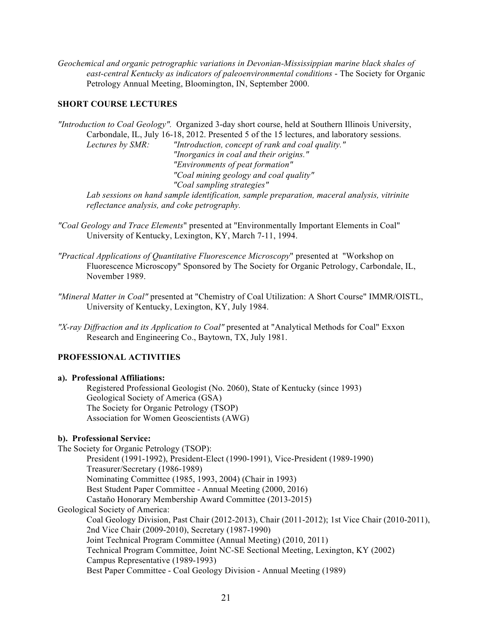*Geochemical and organic petrographic variations in Devonian-Mississippian marine black shales of east-central Kentucky as indicators of paleoenvironmental conditions* - The Society for Organic Petrology Annual Meeting, Bloomington, IN, September 2000.

## **SHORT COURSE LECTURES**

*"Introduction to Coal Geology".* Organized 3-day short course, held at Southern Illinois University, Carbondale, IL, July 16-18, 2012. Presented 5 of the 15 lectures, and laboratory sessions. *Lectures by SMR: "Introduction, concept of rank and coal quality." "Inorganics in coal and their origins." "Environments of peat formation" "Coal mining geology and coal quality" "Coal sampling strategies" Lab sessions on hand sample identification, sample preparation, maceral analysis, vitrinite reflectance analysis, and coke petrography.*

- *"Coal Geology and Trace Elements*" presented at "Environmentally Important Elements in Coal" University of Kentucky, Lexington, KY, March 7-11, 1994.
- *"Practical Applications of Quantitative Fluorescence Microscopy*" presented at "Workshop on Fluorescence Microscopy" Sponsored by The Society for Organic Petrology, Carbondale, IL, November 1989.
- *"Mineral Matter in Coal"* presented at "Chemistry of Coal Utilization: A Short Course" IMMR/OISTL, University of Kentucky, Lexington, KY, July 1984.
- *"X-ray Diffraction and its Application to Coal"* presented at "Analytical Methods for Coal" Exxon Research and Engineering Co., Baytown, TX, July 1981.

# **PROFESSIONAL ACTIVITIES**

## **a). Professional Affiliations:**

Registered Professional Geologist (No. 2060), State of Kentucky (since 1993) Geological Society of America (GSA) The Society for Organic Petrology (TSOP) Association for Women Geoscientists (AWG)

# **b). Professional Service:**

The Society for Organic Petrology (TSOP): President (1991-1992), President-Elect (1990-1991), Vice-President (1989-1990) Treasurer/Secretary (1986-1989) Nominating Committee (1985, 1993, 2004) (Chair in 1993) Best Student Paper Committee - Annual Meeting (2000, 2016) Castaño Honorary Membership Award Committee (2013-2015) Geological Society of America: Coal Geology Division, Past Chair (2012-2013), Chair (2011-2012); 1st Vice Chair (2010-2011), 2nd Vice Chair (2009-2010), Secretary (1987-1990) Joint Technical Program Committee (Annual Meeting) (2010, 2011) Technical Program Committee, Joint NC-SE Sectional Meeting, Lexington, KY (2002) Campus Representative (1989-1993) Best Paper Committee - Coal Geology Division - Annual Meeting (1989)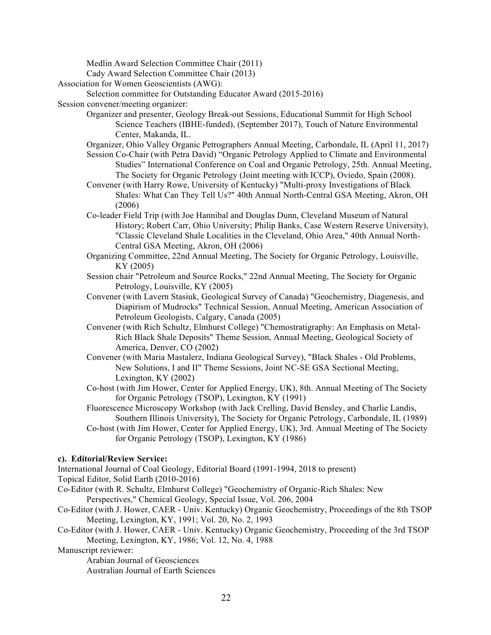Medlin Award Selection Committee Chair (2011) Cady Award Selection Committee Chair (2013) Association for Women Geoscientists (AWG): Selection committee for Outstanding Educator Award (2015-2016) Session convener/meeting organizer: Organizer and presenter, Geology Break-out Sessions, Educational Summit for High School Science Teachers (IBHE-funded), (September 2017), Touch of Nature Environmental Center, Makanda, IL. Organizer, Ohio Valley Organic Petrographers Annual Meeting, Carbondale, IL (April 11, 2017) Session Co-Chair (with Petra David) "Organic Petrology Applied to Climate and Environmental Studies" International Conference on Coal and Organic Petrology, 25th. Annual Meeting, The Society for Organic Petrology (Joint meeting with ICCP), Oviedo, Spain (2008). Convener (with Harry Rowe, University of Kentucky) "Multi-proxy Investigations of Black Shales: What Can They Tell Us?" 40th Annual North-Central GSA Meeting, Akron, OH (2006) Co-leader Field Trip (with Joe Hannibal and Douglas Dunn, Cleveland Museum of Natural History; Robert Carr, Ohio University; Philip Banks, Case Western Reserve University), "Classic Cleveland Shale Localities in the Cleveland, Ohio Area," 40th Annual North-Central GSA Meeting, Akron, OH (2006) Organizing Committee, 22nd Annual Meeting, The Society for Organic Petrology, Louisville, KY (2005) Session chair "Petroleum and Source Rocks," 22nd Annual Meeting, The Society for Organic Petrology, Louisville, KY (2005) Convener (with Lavern Stasiuk, Geological Survey of Canada) "Geochemistry, Diagenesis, and Diapirism of Mudrocks" Technical Session, Annual Meeting, American Association of Petroleum Geologists, Calgary, Canada (2005) Convener (with Rich Schultz, Elmhurst College) "Chemostratigraphy: An Emphasis on Metal-Rich Black Shale Deposits" Theme Session, Annual Meeting, Geological Society of America, Denver, CO (2002) Convener (with Maria Mastalerz, Indiana Geological Survey), "Black Shales - Old Problems,

New Solutions, I and II" Theme Sessions, Joint NC-SE GSA Sectional Meeting, Lexington, KY (2002)

Co-host (with Jim Hower, Center for Applied Energy, UK), 8th. Annual Meeting of The Society for Organic Petrology (TSOP), Lexington, KY (1991)

Fluorescence Microscopy Workshop (with Jack Crelling, David Bensley, and Charlie Landis, Southern Illinois University), The Society for Organic Petrology, Carbondale, IL (1989)

Co-host (with Jim Hower, Center for Applied Energy, UK), 3rd. Annual Meeting of The Society for Organic Petrology (TSOP), Lexington, KY (1986)

#### **c). Editorial/Review Service:**

International Journal of Coal Geology, Editorial Board (1991-1994, 2018 to present) Topical Editor, Solid Earth (2010-2016)

- Co-Editor (with R. Schultz, Elmhurst College) "Geochemistry of Organic-Rich Shales: New Perspectives," Chemical Geology, Special Issue, Vol. 206, 2004
- Co-Editor (with J. Hower, CAER Univ. Kentucky) Organic Geochemistry, Proceedings of the 8th TSOP Meeting, Lexington, KY, 1991; Vol. 20, No. 2, 1993
- Co-Editor (with J. Hower, CAER Univ. Kentucky) Organic Geochemistry, Proceeding of the 3rd TSOP Meeting, Lexington, KY, 1986; Vol. 12, No. 4, 1988

Manuscript reviewer:

Arabian Journal of Geosciences

Australian Journal of Earth Sciences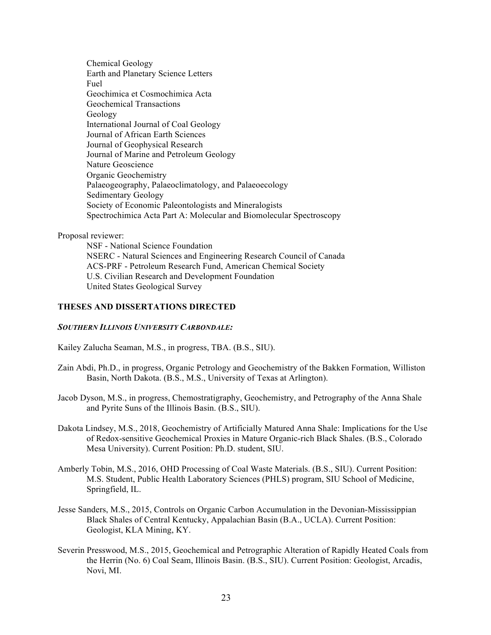Chemical Geology Earth and Planetary Science Letters Fuel Geochimica et Cosmochimica Acta Geochemical Transactions Geology International Journal of Coal Geology Journal of African Earth Sciences Journal of Geophysical Research Journal of Marine and Petroleum Geology Nature Geoscience Organic Geochemistry Palaeogeography, Palaeoclimatology, and Palaeoecology Sedimentary Geology Society of Economic Paleontologists and Mineralogists Spectrochimica Acta Part A: Molecular and Biomolecular Spectroscopy

### Proposal reviewer:

NSF - National Science Foundation NSERC - Natural Sciences and Engineering Research Council of Canada ACS-PRF - Petroleum Research Fund, American Chemical Society U.S. Civilian Research and Development Foundation United States Geological Survey

# **THESES AND DISSERTATIONS DIRECTED**

## *SOUTHERN ILLINOIS UNIVERSITY CARBONDALE:*

Kailey Zalucha Seaman, M.S., in progress, TBA. (B.S., SIU).

- Zain Abdi, Ph.D., in progress, Organic Petrology and Geochemistry of the Bakken Formation, Williston Basin, North Dakota. (B.S., M.S., University of Texas at Arlington).
- Jacob Dyson, M.S., in progress, Chemostratigraphy, Geochemistry, and Petrography of the Anna Shale and Pyrite Suns of the Illinois Basin. (B.S., SIU).
- Dakota Lindsey, M.S., 2018, Geochemistry of Artificially Matured Anna Shale: Implications for the Use of Redox-sensitive Geochemical Proxies in Mature Organic-rich Black Shales. (B.S., Colorado Mesa University). Current Position: Ph.D. student, SIU.
- Amberly Tobin, M.S., 2016, OHD Processing of Coal Waste Materials. (B.S., SIU). Current Position: M.S. Student, Public Health Laboratory Sciences (PHLS) program, SIU School of Medicine, Springfield, IL.
- Jesse Sanders, M.S., 2015, Controls on Organic Carbon Accumulation in the Devonian-Mississippian Black Shales of Central Kentucky, Appalachian Basin (B.A., UCLA). Current Position: Geologist, KLA Mining, KY.
- Severin Presswood, M.S., 2015, Geochemical and Petrographic Alteration of Rapidly Heated Coals from the Herrin (No. 6) Coal Seam, Illinois Basin. (B.S., SIU). Current Position: Geologist, Arcadis, Novi, MI.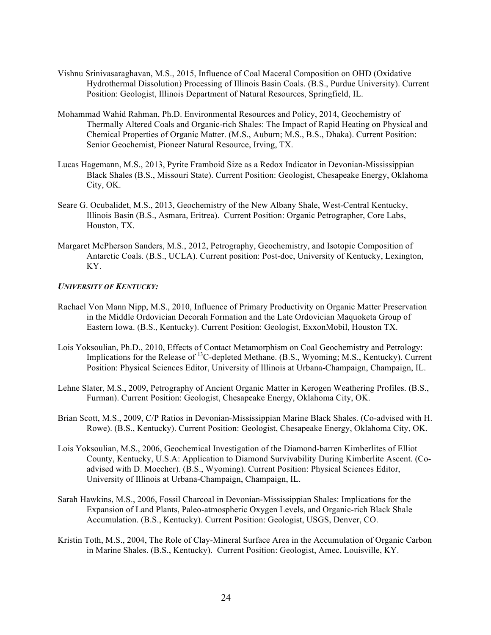- Vishnu Srinivasaraghavan, M.S., 2015, Influence of Coal Maceral Composition on OHD (Oxidative Hydrothermal Dissolution) Processing of Illinois Basin Coals. (B.S., Purdue University). Current Position: Geologist, Illinois Department of Natural Resources, Springfield, IL.
- Mohammad Wahid Rahman, Ph.D. Environmental Resources and Policy, 2014, Geochemistry of Thermally Altered Coals and Organic-rich Shales: The Impact of Rapid Heating on Physical and Chemical Properties of Organic Matter. (M.S., Auburn; M.S., B.S., Dhaka). Current Position: Senior Geochemist, Pioneer Natural Resource, Irving, TX.
- Lucas Hagemann, M.S., 2013, Pyrite Framboid Size as a Redox Indicator in Devonian-Mississippian Black Shales (B.S., Missouri State). Current Position: Geologist, Chesapeake Energy, Oklahoma City, OK.
- Seare G. Ocubalidet, M.S., 2013, Geochemistry of the New Albany Shale, West-Central Kentucky, Illinois Basin (B.S., Asmara, Eritrea). Current Position: Organic Petrographer, Core Labs, Houston, TX.
- Margaret McPherson Sanders, M.S., 2012, Petrography, Geochemistry, and Isotopic Composition of Antarctic Coals. (B.S., UCLA). Current position: Post-doc, University of Kentucky, Lexington, KY.

## *UNIVERSITY OF KENTUCKY:*

- Rachael Von Mann Nipp, M.S., 2010, Influence of Primary Productivity on Organic Matter Preservation in the Middle Ordovician Decorah Formation and the Late Ordovician Maquoketa Group of Eastern Iowa. (B.S., Kentucky). Current Position: Geologist, ExxonMobil, Houston TX.
- Lois Yoksoulian, Ph.D., 2010, Effects of Contact Metamorphism on Coal Geochemistry and Petrology: Implications for the Release of <sup>13</sup>C-depleted Methane. (B.S., Wyoming; M.S., Kentucky). Current Position: Physical Sciences Editor, University of Illinois at Urbana-Champaign, Champaign, IL.
- Lehne Slater, M.S., 2009, Petrography of Ancient Organic Matter in Kerogen Weathering Profiles. (B.S., Furman). Current Position: Geologist, Chesapeake Energy, Oklahoma City, OK.
- Brian Scott, M.S., 2009, C/P Ratios in Devonian-Mississippian Marine Black Shales. (Co-advised with H. Rowe). (B.S., Kentucky). Current Position: Geologist, Chesapeake Energy, Oklahoma City, OK.
- Lois Yoksoulian, M.S., 2006, Geochemical Investigation of the Diamond-barren Kimberlites of Elliot County, Kentucky, U.S.A: Application to Diamond Survivability During Kimberlite Ascent. (Coadvised with D. Moecher). (B.S., Wyoming). Current Position: Physical Sciences Editor, University of Illinois at Urbana-Champaign, Champaign, IL.
- Sarah Hawkins, M.S., 2006, Fossil Charcoal in Devonian-Mississippian Shales: Implications for the Expansion of Land Plants, Paleo-atmospheric Oxygen Levels, and Organic-rich Black Shale Accumulation. (B.S., Kentucky). Current Position: Geologist, USGS, Denver, CO.
- Kristin Toth, M.S., 2004, The Role of Clay-Mineral Surface Area in the Accumulation of Organic Carbon in Marine Shales. (B.S., Kentucky). Current Position: Geologist, Amec, Louisville, KY.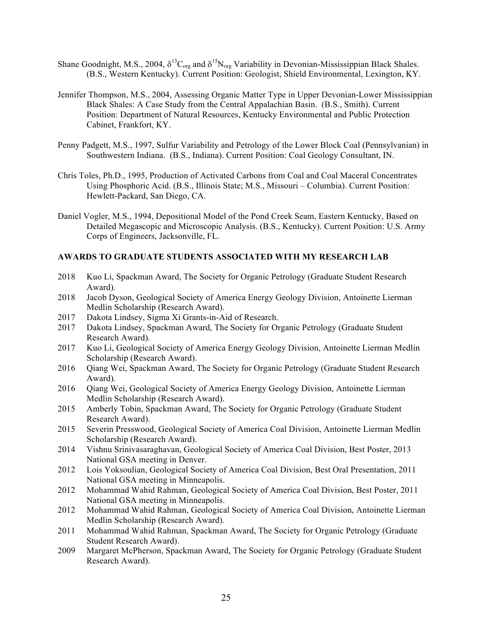- Shane Goodnight, M.S., 2004,  $\delta^{13}C_{org}$  and  $\delta^{15}N_{org}$  Variability in Devonian-Mississippian Black Shales. (B.S., Western Kentucky). Current Position: Geologist, Shield Environmental, Lexington, KY.
- Jennifer Thompson, M.S., 2004, Assessing Organic Matter Type in Upper Devonian-Lower Mississippian Black Shales: A Case Study from the Central Appalachian Basin. (B.S., Smith). Current Position: Department of Natural Resources, Kentucky Environmental and Public Protection Cabinet, Frankfort, KY.
- Penny Padgett, M.S., 1997, Sulfur Variability and Petrology of the Lower Block Coal (Pennsylvanian) in Southwestern Indiana. (B.S., Indiana). Current Position: Coal Geology Consultant, IN.
- Chris Toles, Ph.D., 1995, Production of Activated Carbons from Coal and Coal Maceral Concentrates Using Phosphoric Acid. (B.S., Illinois State; M.S., Missouri – Columbia). Current Position: Hewlett-Packard, San Diego, CA.
- Daniel Vogler, M.S., 1994, Depositional Model of the Pond Creek Seam, Eastern Kentucky, Based on Detailed Megascopic and Microscopic Analysis. (B.S., Kentucky). Current Position: U.S. Army Corps of Engineers, Jacksonville, FL.

# **AWARDS TO GRADUATE STUDENTS ASSOCIATED WITH MY RESEARCH LAB**

- 2018 Kuo Li, Spackman Award, The Society for Organic Petrology (Graduate Student Research Award).
- 2018 Jacob Dyson, Geological Society of America Energy Geology Division, Antoinette Lierman Medlin Scholarship (Research Award).
- 2017 Dakota Lindsey, Sigma Xi Grants-in-Aid of Research.
- 2017 Dakota Lindsey, Spackman Award, The Society for Organic Petrology (Graduate Student Research Award).
- 2017 Kuo Li, Geological Society of America Energy Geology Division, Antoinette Lierman Medlin Scholarship (Research Award).
- 2016 Qiang Wei, Spackman Award, The Society for Organic Petrology (Graduate Student Research Award).
- 2016 Qiang Wei, Geological Society of America Energy Geology Division, Antoinette Lierman Medlin Scholarship (Research Award).
- 2015 Amberly Tobin, Spackman Award, The Society for Organic Petrology (Graduate Student Research Award).
- 2015 Severin Presswood, Geological Society of America Coal Division, Antoinette Lierman Medlin Scholarship (Research Award).
- 2014 Vishnu Srinivasaraghavan, Geological Society of America Coal Division, Best Poster, 2013 National GSA meeting in Denver.
- 2012 Lois Yoksoulian, Geological Society of America Coal Division, Best Oral Presentation, 2011 National GSA meeting in Minneapolis.
- 2012 Mohammad Wahid Rahman, Geological Society of America Coal Division, Best Poster, 2011 National GSA meeting in Minneapolis.
- 2012 Mohammad Wahid Rahman, Geological Society of America Coal Division, Antoinette Lierman Medlin Scholarship (Research Award).
- 2011 Mohammad Wahid Rahman, Spackman Award, The Society for Organic Petrology (Graduate Student Research Award).
- 2009 Margaret McPherson, Spackman Award, The Society for Organic Petrology (Graduate Student Research Award).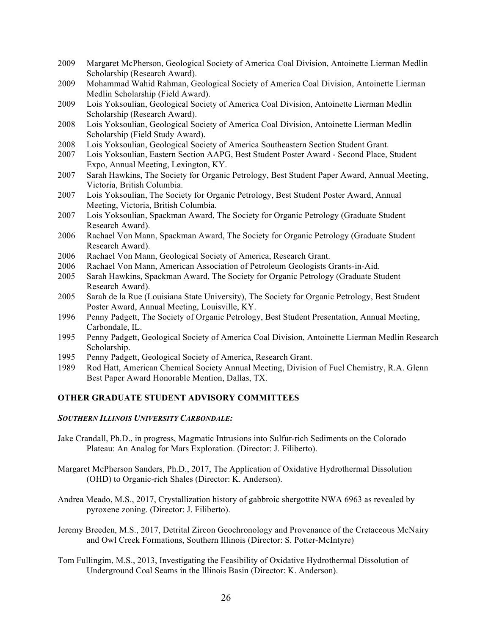- 2009 Margaret McPherson, Geological Society of America Coal Division, Antoinette Lierman Medlin Scholarship (Research Award).
- 2009 Mohammad Wahid Rahman, Geological Society of America Coal Division, Antoinette Lierman Medlin Scholarship (Field Award).
- 2009 Lois Yoksoulian, Geological Society of America Coal Division, Antoinette Lierman Medlin Scholarship (Research Award).
- 2008 Lois Yoksoulian, Geological Society of America Coal Division, Antoinette Lierman Medlin Scholarship (Field Study Award).
- 2008 Lois Yoksoulian, Geological Society of America Southeastern Section Student Grant.
- 2007 Lois Yoksoulian, Eastern Section AAPG, Best Student Poster Award Second Place, Student Expo, Annual Meeting, Lexington, KY.
- 2007 Sarah Hawkins, The Society for Organic Petrology, Best Student Paper Award, Annual Meeting, Victoria, British Columbia.
- 2007 Lois Yoksoulian, The Society for Organic Petrology, Best Student Poster Award, Annual Meeting, Victoria, British Columbia.
- 2007 Lois Yoksoulian, Spackman Award, The Society for Organic Petrology (Graduate Student Research Award).
- 2006 Rachael Von Mann, Spackman Award, The Society for Organic Petrology (Graduate Student Research Award).
- 2006 Rachael Von Mann, Geological Society of America, Research Grant.
- 2006 Rachael Von Mann, American Association of Petroleum Geologists Grants-in-Aid.
- 2005 Sarah Hawkins, Spackman Award, The Society for Organic Petrology (Graduate Student Research Award).
- 2005 Sarah de la Rue (Louisiana State University), The Society for Organic Petrology, Best Student Poster Award, Annual Meeting, Louisville, KY.
- 1996 Penny Padgett, The Society of Organic Petrology, Best Student Presentation, Annual Meeting, Carbondale, IL.
- 1995 Penny Padgett, Geological Society of America Coal Division, Antoinette Lierman Medlin Research Scholarship.
- 1995 Penny Padgett, Geological Society of America, Research Grant.
- 1989 Rod Hatt, American Chemical Society Annual Meeting, Division of Fuel Chemistry, R.A. Glenn Best Paper Award Honorable Mention, Dallas, TX.

### **OTHER GRADUATE STUDENT ADVISORY COMMITTEES**

#### *SOUTHERN ILLINOIS UNIVERSITY CARBONDALE:*

- Jake Crandall, Ph.D., in progress, Magmatic Intrusions into Sulfur-rich Sediments on the Colorado Plateau: An Analog for Mars Exploration. (Director: J. Filiberto).
- Margaret McPherson Sanders, Ph.D., 2017, The Application of Oxidative Hydrothermal Dissolution (OHD) to Organic-rich Shales (Director: K. Anderson).
- Andrea Meado, M.S., 2017, Crystallization history of gabbroic shergottite NWA 6963 as revealed by pyroxene zoning. (Director: J. Filiberto).
- Jeremy Breeden, M.S., 2017, Detrital Zircon Geochronology and Provenance of the Cretaceous McNairy and Owl Creek Formations, Southern Illinois (Director: S. Potter-McIntyre)
- Tom Fullingim, M.S., 2013, Investigating the Feasibility of Oxidative Hydrothermal Dissolution of Underground Coal Seams in the lllinois Basin (Director: K. Anderson).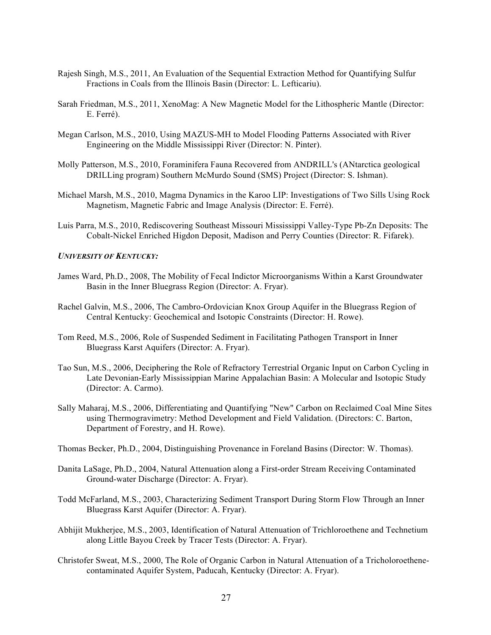- Rajesh Singh, M.S., 2011, An Evaluation of the Sequential Extraction Method for Quantifying Sulfur Fractions in Coals from the Illinois Basin (Director: L. Lefticariu).
- Sarah Friedman, M.S., 2011, XenoMag: A New Magnetic Model for the Lithospheric Mantle (Director: E. Ferré).
- Megan Carlson, M.S., 2010, Using MAZUS-MH to Model Flooding Patterns Associated with River Engineering on the Middle Mississippi River (Director: N. Pinter).
- Molly Patterson, M.S., 2010, Foraminifera Fauna Recovered from ANDRILL's (ANtarctica geological DRILLing program) Southern McMurdo Sound (SMS) Project (Director: S. Ishman).
- Michael Marsh, M.S., 2010, Magma Dynamics in the Karoo LIP: Investigations of Two Sills Using Rock Magnetism, Magnetic Fabric and Image Analysis (Director: E. Ferré).
- Luis Parra, M.S., 2010, Rediscovering Southeast Missouri Mississippi Valley-Type Pb-Zn Deposits: The Cobalt-Nickel Enriched Higdon Deposit, Madison and Perry Counties (Director: R. Fifarek).

### *UNIVERSITY OF KENTUCKY:*

- James Ward, Ph.D., 2008, The Mobility of Fecal Indictor Microorganisms Within a Karst Groundwater Basin in the Inner Bluegrass Region (Director: A. Fryar).
- Rachel Galvin, M.S., 2006, The Cambro-Ordovician Knox Group Aquifer in the Bluegrass Region of Central Kentucky: Geochemical and Isotopic Constraints (Director: H. Rowe).
- Tom Reed, M.S., 2006, Role of Suspended Sediment in Facilitating Pathogen Transport in Inner Bluegrass Karst Aquifers (Director: A. Fryar).
- Tao Sun, M.S., 2006, Deciphering the Role of Refractory Terrestrial Organic Input on Carbon Cycling in Late Devonian-Early Mississippian Marine Appalachian Basin: A Molecular and Isotopic Study (Director: A. Carmo).
- Sally Maharaj, M.S., 2006, Differentiating and Quantifying "New" Carbon on Reclaimed Coal Mine Sites using Thermogravimetry: Method Development and Field Validation. (Directors: C. Barton, Department of Forestry, and H. Rowe).

Thomas Becker, Ph.D., 2004, Distinguishing Provenance in Foreland Basins (Director: W. Thomas).

- Danita LaSage, Ph.D., 2004, Natural Attenuation along a First-order Stream Receiving Contaminated Ground-water Discharge (Director: A. Fryar).
- Todd McFarland, M.S., 2003, Characterizing Sediment Transport During Storm Flow Through an Inner Bluegrass Karst Aquifer (Director: A. Fryar).
- Abhijit Mukherjee, M.S., 2003, Identification of Natural Attenuation of Trichloroethene and Technetium along Little Bayou Creek by Tracer Tests (Director: A. Fryar).
- Christofer Sweat, M.S., 2000, The Role of Organic Carbon in Natural Attenuation of a Tricholoroethenecontaminated Aquifer System, Paducah, Kentucky (Director: A. Fryar).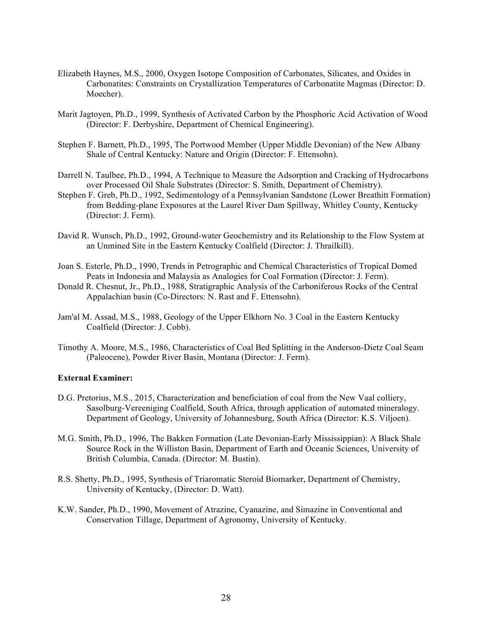- Elizabeth Haynes, M.S., 2000, Oxygen Isotope Composition of Carbonates, Silicates, and Oxides in Carbonatites: Constraints on Crystallization Temperatures of Carbonatite Magmas (Director: D. Moecher).
- Marit Jagtoyen, Ph.D., 1999, Synthesis of Activated Carbon by the Phosphoric Acid Activation of Wood (Director: F. Derbyshire, Department of Chemical Engineering).
- Stephen F. Barnett, Ph.D., 1995, The Portwood Member (Upper Middle Devonian) of the New Albany Shale of Central Kentucky: Nature and Origin (Director: F. Ettensohn).
- Darrell N. Taulbee, Ph.D., 1994, A Technique to Measure the Adsorption and Cracking of Hydrocarbons over Processed Oil Shale Substrates (Director: S. Smith, Department of Chemistry).
- Stephen F. Greb, Ph.D., 1992, Sedimentology of a Pennsylvanian Sandstone (Lower Breathitt Formation) from Bedding-plane Exposures at the Laurel River Dam Spillway, Whitley County, Kentucky (Director: J. Ferm).
- David R. Wunsch, Ph.D., 1992, Ground-water Geochemistry and its Relationship to the Flow System at an Unmined Site in the Eastern Kentucky Coalfield (Director: J. Thrailkill).
- Joan S. Esterle, Ph.D., 1990, Trends in Petrographic and Chemical Characteristics of Tropical Domed Peats in Indonesia and Malaysia as Analogies for Coal Formation (Director: J. Ferm).
- Donald R. Chesnut, Jr., Ph.D., 1988, Stratigraphic Analysis of the Carboniferous Rocks of the Central Appalachian basin (Co-Directors: N. Rast and F. Ettensohn).
- Jam'al M. Assad, M.S., 1988, Geology of the Upper Elkhorn No. 3 Coal in the Eastern Kentucky Coalfield (Director: J. Cobb).
- Timothy A. Moore, M.S., 1986, Characteristics of Coal Bed Splitting in the Anderson-Dietz Coal Seam (Paleocene), Powder River Basin, Montana (Director: J. Ferm).

#### **External Examiner:**

- D.G. Pretorius, M.S., 2015, Characterization and beneficiation of coal from the New Vaal colliery, Sasolburg-Vereeniging Coalfield, South Africa, through application of automated mineralogy. Department of Geology, University of Johannesburg, South Africa (Director: K.S. Viljoen).
- M.G. Smith, Ph.D., 1996, The Bakken Formation (Late Devonian-Early Mississippian): A Black Shale Source Rock in the Williston Basin, Department of Earth and Oceanic Sciences, University of British Columbia, Canada. (Director: M. Bustin).
- R.S. Shetty, Ph.D., 1995, Synthesis of Triaromatic Steroid Biomarker, Department of Chemistry, University of Kentucky, (Director: D. Watt).
- K.W. Sander, Ph.D., 1990, Movement of Atrazine, Cyanazine, and Simazine in Conventional and Conservation Tillage, Department of Agronomy, University of Kentucky.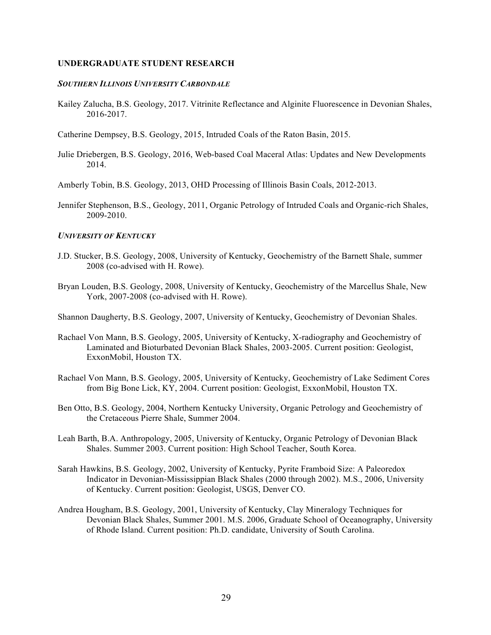#### **UNDERGRADUATE STUDENT RESEARCH**

#### *SOUTHERN ILLINOIS UNIVERSITY CARBONDALE*

Kailey Zalucha, B.S. Geology, 2017. Vitrinite Reflectance and Alginite Fluorescence in Devonian Shales, 2016-2017.

Catherine Dempsey, B.S. Geology, 2015, Intruded Coals of the Raton Basin, 2015.

Julie Driebergen, B.S. Geology, 2016, Web-based Coal Maceral Atlas: Updates and New Developments 2014.

Amberly Tobin, B.S. Geology, 2013, OHD Processing of Illinois Basin Coals, 2012-2013.

Jennifer Stephenson, B.S., Geology, 2011, Organic Petrology of Intruded Coals and Organic-rich Shales, 2009-2010.

#### *UNIVERSITY OF KENTUCKY*

- J.D. Stucker, B.S. Geology, 2008, University of Kentucky, Geochemistry of the Barnett Shale, summer 2008 (co-advised with H. Rowe).
- Bryan Louden, B.S. Geology, 2008, University of Kentucky, Geochemistry of the Marcellus Shale, New York, 2007-2008 (co-advised with H. Rowe).

Shannon Daugherty, B.S. Geology, 2007, University of Kentucky, Geochemistry of Devonian Shales.

- Rachael Von Mann, B.S. Geology, 2005, University of Kentucky, X-radiography and Geochemistry of Laminated and Bioturbated Devonian Black Shales, 2003-2005. Current position: Geologist, ExxonMobil, Houston TX.
- Rachael Von Mann, B.S. Geology, 2005, University of Kentucky, Geochemistry of Lake Sediment Cores from Big Bone Lick, KY, 2004. Current position: Geologist, ExxonMobil, Houston TX.
- Ben Otto, B.S. Geology, 2004, Northern Kentucky University, Organic Petrology and Geochemistry of the Cretaceous Pierre Shale, Summer 2004.
- Leah Barth, B.A. Anthropology, 2005, University of Kentucky, Organic Petrology of Devonian Black Shales. Summer 2003. Current position: High School Teacher, South Korea.
- Sarah Hawkins, B.S. Geology, 2002, University of Kentucky, Pyrite Framboid Size: A Paleoredox Indicator in Devonian-Mississippian Black Shales (2000 through 2002). M.S., 2006, University of Kentucky. Current position: Geologist, USGS, Denver CO.
- Andrea Hougham, B.S. Geology, 2001, University of Kentucky, Clay Mineralogy Techniques for Devonian Black Shales, Summer 2001. M.S. 2006, Graduate School of Oceanography, University of Rhode Island. Current position: Ph.D. candidate, University of South Carolina.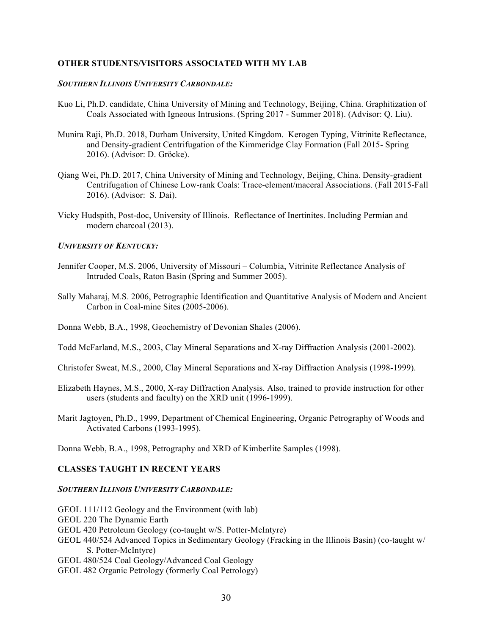### **OTHER STUDENTS/VISITORS ASSOCIATED WITH MY LAB**

### *SOUTHERN ILLINOIS UNIVERSITY CARBONDALE:*

- Kuo Li, Ph.D. candidate, China University of Mining and Technology, Beijing, China. Graphitization of Coals Associated with Igneous Intrusions. (Spring 2017 - Summer 2018). (Advisor: Q. Liu).
- Munira Raji, Ph.D. 2018, Durham University, United Kingdom. Kerogen Typing, Vitrinite Reflectance, and Density-gradient Centrifugation of the Kimmeridge Clay Formation (Fall 2015- Spring 2016). (Advisor: D. Gröcke).
- Qiang Wei, Ph.D. 2017, China University of Mining and Technology, Beijing, China. Density-gradient Centrifugation of Chinese Low-rank Coals: Trace-element/maceral Associations. (Fall 2015-Fall 2016). (Advisor: S. Dai).
- Vicky Hudspith, Post-doc, University of Illinois. Reflectance of Inertinites. Including Permian and modern charcoal (2013).

#### *UNIVERSITY OF KENTUCKY:*

- Jennifer Cooper, M.S. 2006, University of Missouri Columbia, Vitrinite Reflectance Analysis of Intruded Coals, Raton Basin (Spring and Summer 2005).
- Sally Maharaj, M.S. 2006, Petrographic Identification and Quantitative Analysis of Modern and Ancient Carbon in Coal-mine Sites (2005-2006).
- Donna Webb, B.A., 1998, Geochemistry of Devonian Shales (2006).
- Todd McFarland, M.S., 2003, Clay Mineral Separations and X-ray Diffraction Analysis (2001-2002).
- Christofer Sweat, M.S., 2000, Clay Mineral Separations and X-ray Diffraction Analysis (1998-1999).
- Elizabeth Haynes, M.S., 2000, X-ray Diffraction Analysis. Also, trained to provide instruction for other users (students and faculty) on the XRD unit (1996-1999).
- Marit Jagtoyen, Ph.D., 1999, Department of Chemical Engineering, Organic Petrography of Woods and Activated Carbons (1993-1995).

Donna Webb, B.A., 1998, Petrography and XRD of Kimberlite Samples (1998).

## **CLASSES TAUGHT IN RECENT YEARS**

### *SOUTHERN ILLINOIS UNIVERSITY CARBONDALE:*

- GEOL 111/112 Geology and the Environment (with lab)
- GEOL 220 The Dynamic Earth
- GEOL 420 Petroleum Geology (co-taught w/S. Potter-McIntyre)
- GEOL 440/524 Advanced Topics in Sedimentary Geology (Fracking in the Illinois Basin) (co-taught w/ S. Potter-McIntyre)
- GEOL 480/524 Coal Geology/Advanced Coal Geology
- GEOL 482 Organic Petrology (formerly Coal Petrology)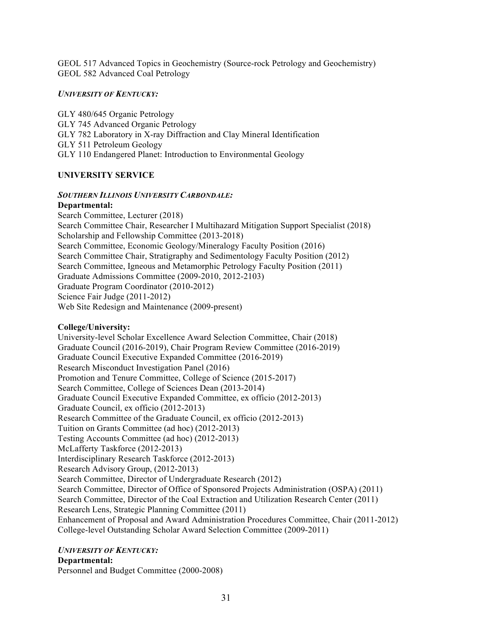GEOL 517 Advanced Topics in Geochemistry (Source-rock Petrology and Geochemistry) GEOL 582 Advanced Coal Petrology

### *UNIVERSITY OF KENTUCKY:*

GLY 480/645 Organic Petrology GLY 745 Advanced Organic Petrology GLY 782 Laboratory in X-ray Diffraction and Clay Mineral Identification GLY 511 Petroleum Geology GLY 110 Endangered Planet: Introduction to Environmental Geology

### **UNIVERSITY SERVICE**

### *SOUTHERN ILLINOIS UNIVERSITY CARBONDALE:*

## **Departmental:**

Search Committee, Lecturer (2018) Search Committee Chair, Researcher I Multihazard Mitigation Support Specialist (2018) Scholarship and Fellowship Committee (2013-2018) Search Committee, Economic Geology/Mineralogy Faculty Position (2016) Search Committee Chair, Stratigraphy and Sedimentology Faculty Position (2012) Search Committee, Igneous and Metamorphic Petrology Faculty Position (2011) Graduate Admissions Committee (2009-2010, 2012-2103) Graduate Program Coordinator (2010-2012) Science Fair Judge (2011-2012) Web Site Redesign and Maintenance (2009-present)

## **College/University:**

University-level Scholar Excellence Award Selection Committee, Chair (2018) Graduate Council (2016-2019), Chair Program Review Committee (2016-2019) Graduate Council Executive Expanded Committee (2016-2019) Research Misconduct Investigation Panel (2016) Promotion and Tenure Committee, College of Science (2015-2017) Search Committee, College of Sciences Dean (2013-2014) Graduate Council Executive Expanded Committee, ex officio (2012-2013) Graduate Council, ex officio (2012-2013) Research Committee of the Graduate Council, ex officio (2012-2013) Tuition on Grants Committee (ad hoc) (2012-2013) Testing Accounts Committee (ad hoc) (2012-2013) McLafferty Taskforce (2012-2013) Interdisciplinary Research Taskforce (2012-2013) Research Advisory Group, (2012-2013) Search Committee, Director of Undergraduate Research (2012) Search Committee, Director of Office of Sponsored Projects Administration (OSPA) (2011) Search Committee, Director of the Coal Extraction and Utilization Research Center (2011) Research Lens, Strategic Planning Committee (2011) Enhancement of Proposal and Award Administration Procedures Committee, Chair (2011-2012) College-level Outstanding Scholar Award Selection Committee (2009-2011)

## *UNIVERSITY OF KENTUCKY:*

# **Departmental:**

Personnel and Budget Committee (2000-2008)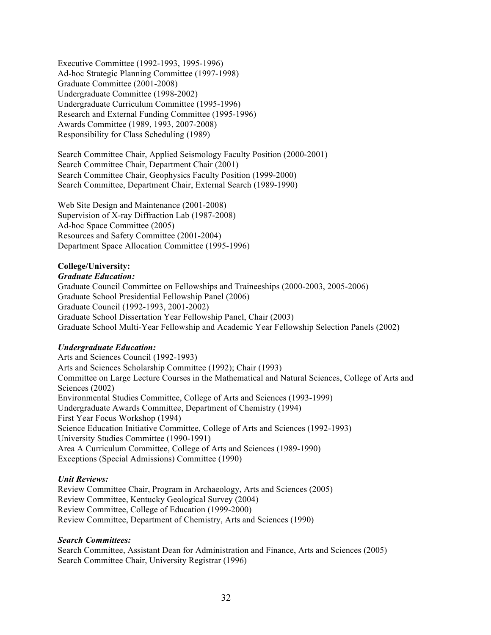Executive Committee (1992-1993, 1995-1996) Ad-hoc Strategic Planning Committee (1997-1998) Graduate Committee (2001-2008) Undergraduate Committee (1998-2002) Undergraduate Curriculum Committee (1995-1996) Research and External Funding Committee (1995-1996) Awards Committee (1989, 1993, 2007-2008) Responsibility for Class Scheduling (1989)

Search Committee Chair, Applied Seismology Faculty Position (2000-2001) Search Committee Chair, Department Chair (2001) Search Committee Chair, Geophysics Faculty Position (1999-2000) Search Committee, Department Chair, External Search (1989-1990)

Web Site Design and Maintenance (2001-2008) Supervision of X-ray Diffraction Lab (1987-2008) Ad-hoc Space Committee (2005) Resources and Safety Committee (2001-2004) Department Space Allocation Committee (1995-1996)

## **College/University:**

### *Graduate Education:*

Graduate Council Committee on Fellowships and Traineeships (2000-2003, 2005-2006) Graduate School Presidential Fellowship Panel (2006) Graduate Council (1992-1993, 2001-2002) Graduate School Dissertation Year Fellowship Panel, Chair (2003) Graduate School Multi-Year Fellowship and Academic Year Fellowship Selection Panels (2002)

## *Undergraduate Education:*

Arts and Sciences Council (1992-1993) Arts and Sciences Scholarship Committee (1992); Chair (1993) Committee on Large Lecture Courses in the Mathematical and Natural Sciences, College of Arts and Sciences (2002) Environmental Studies Committee, College of Arts and Sciences (1993-1999) Undergraduate Awards Committee, Department of Chemistry (1994) First Year Focus Workshop (1994) Science Education Initiative Committee, College of Arts and Sciences (1992-1993) University Studies Committee (1990-1991) Area A Curriculum Committee, College of Arts and Sciences (1989-1990) Exceptions (Special Admissions) Committee (1990)

## *Unit Reviews:*

Review Committee Chair, Program in Archaeology, Arts and Sciences (2005) Review Committee, Kentucky Geological Survey (2004) Review Committee, College of Education (1999-2000) Review Committee, Department of Chemistry, Arts and Sciences (1990)

## *Search Committees:*

Search Committee, Assistant Dean for Administration and Finance, Arts and Sciences (2005) Search Committee Chair, University Registrar (1996)